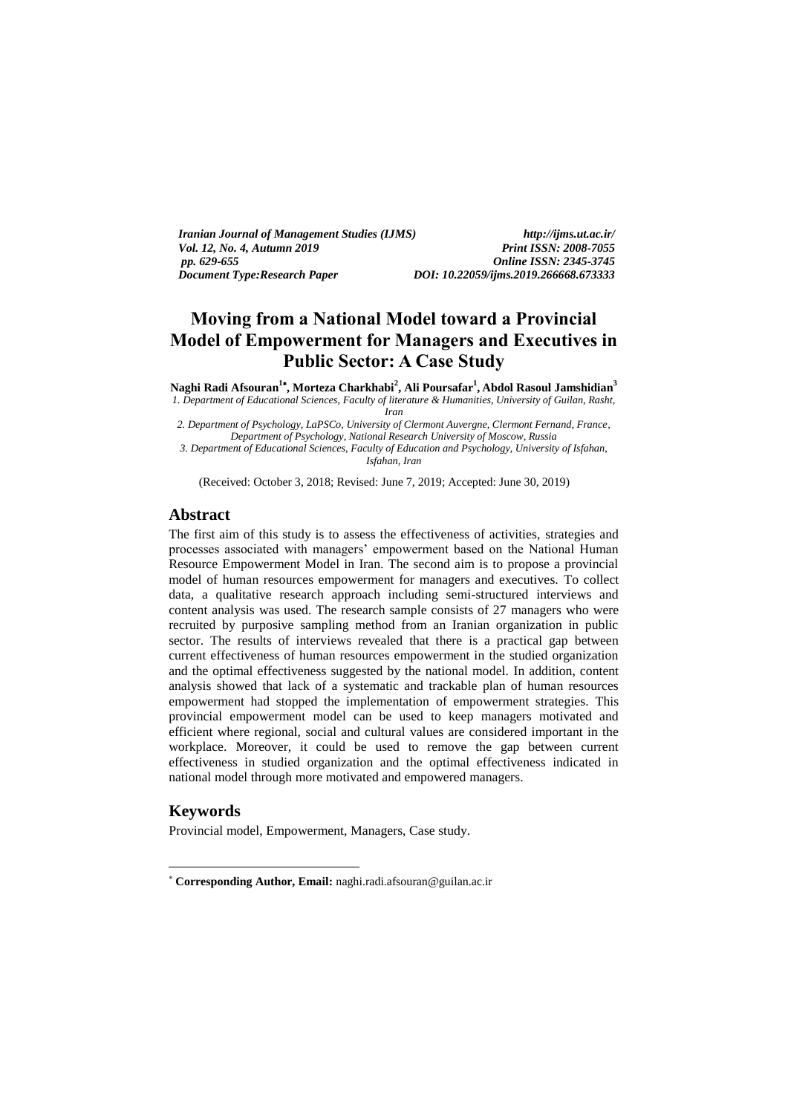| <i>Iranian Journal of Management Studies (IJMS)</i> | $htto$ ://iims.ut.ac.ir/              |
|-----------------------------------------------------|---------------------------------------|
| <i>Vol. 12. No. 4. Autumn 2019</i>                  | <b>Print ISSN: 2008-7055</b>          |
| pp. 629-655                                         | <b>Online ISSN: 2345-3745</b>         |
| Document Type: Research Paper                       | DOI: 10.22059/ijms.2019.266668.673333 |

# **Moving from a National Model toward a Provincial Model of Empowerment for Managers and Executives in Public Sector: A Case Study**

**Naghi Radi Afsouran<sup>1</sup> , Morteza Charkhabi<sup>2</sup> , Ali Poursafar<sup>1</sup> , Abdol Rasoul Jamshidian<sup>3</sup>** *1. Department of Educational Sciences, Faculty of literature & Humanities, University of Guilan, Rasht, Iran*

*2. Department of Psychology, LaPSCo, University of Clermont Auvergne, Clermont Fernand, France, Department of Psychology, National Research University of Moscow, Russia 3. Department of Educational Sciences, Faculty of Education and Psychology, University of Isfahan, Isfahan, Iran*

(Received: October 3, 2018; Revised: June 7, 2019; Accepted: June 30, 2019)

## **Abstract**

The first aim of this study is to assess the effectiveness of activities, strategies and processes associated with managers' empowerment based on the National Human Resource Empowerment Model in Iran. The second aim is to propose a provincial model of human resources empowerment for managers and executives. To collect data, a qualitative research approach including semi-structured interviews and content analysis was used. The research sample consists of 27 managers who were recruited by purposive sampling method from an Iranian organization in public sector. The results of interviews revealed that there is a practical gap between current effectiveness of human resources empowerment in the studied organization and the optimal effectiveness suggested by the national model. In addition, content analysis showed that lack of a systematic and trackable plan of human resources empowerment had stopped the implementation of empowerment strategies. This provincial empowerment model can be used to keep managers motivated and efficient where regional, social and cultural values are considered important in the workplace. Moreover, it could be used to remove the gap between current effectiveness in studied organization and the optimal effectiveness indicated in national model through more motivated and empowered managers.

# **Keywords**

-

Provincial model, Empowerment, Managers, Case study.

**Corresponding Author, Email:** naghi.radi.afsouran@guilan.ac.ir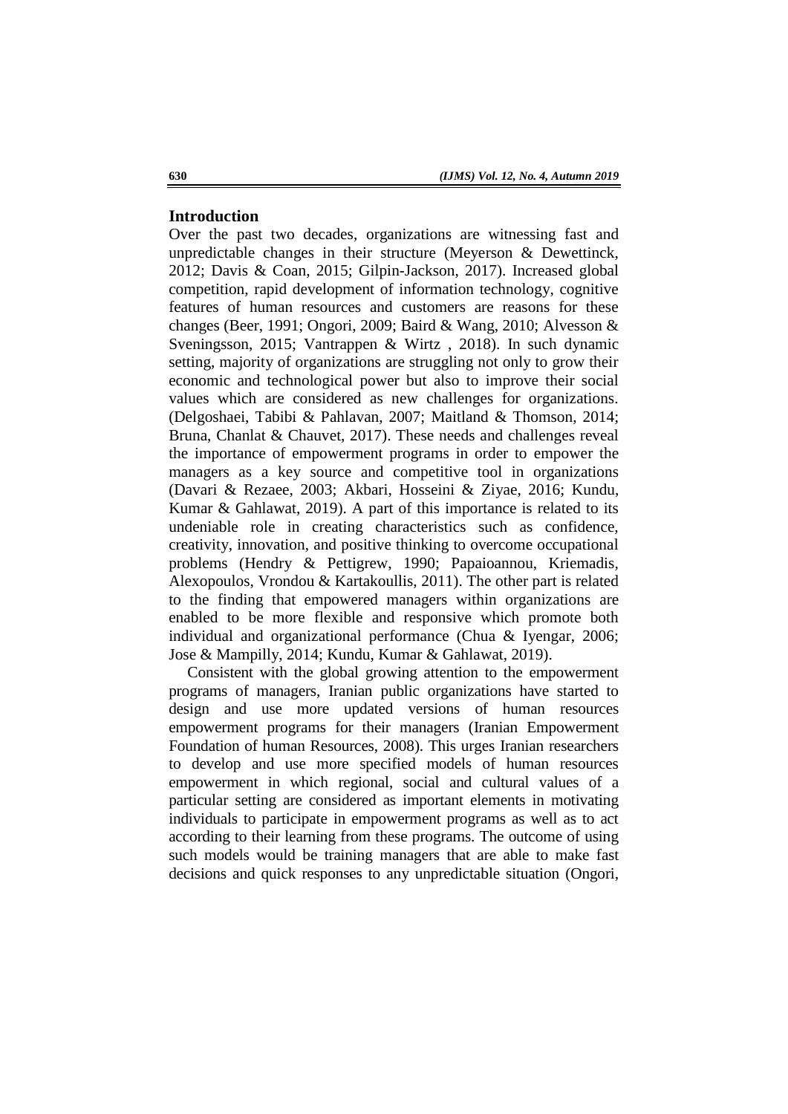# **Introduction**

Over the past two decades, organizations are witnessing fast and unpredictable changes in their structure (Meyerson & Dewettinck, 2012; Davis & Coan, 2015; Gilpin-Jackson, 2017). Increased global competition, rapid development of information technology, cognitive features of human resources and customers are reasons for these changes (Beer, 1991; Ongori, 2009; Baird & Wang, 2010; Alvesson & Sveningsson, 2015; Vantrappen & Wirtz , 2018). In such dynamic setting, majority of organizations are struggling not only to grow their economic and technological power but also to improve their social values which are considered as new challenges for organizations. (Delgoshaei, Tabibi & Pahlavan, 2007; Maitland & Thomson, 2014; Bruna, Chanlat & Chauvet, 2017). These needs and challenges reveal the importance of empowerment programs in order to empower the managers as a key source and competitive tool in organizations (Davari & Rezaee, 2003; Akbari, Hosseini & Ziyae, 2016; Kundu, Kumar & Gahlawat, 2019). A part of this importance is related to its undeniable role in creating characteristics such as confidence, creativity, innovation, and positive thinking to overcome occupational problems (Hendry & Pettigrew, 1990; Papaioannou, Kriemadis, Alexopoulos, Vrondou & Kartakoullis, 2011). The other part is related to the finding that empowered managers within organizations are enabled to be more flexible and responsive which promote both individual and organizational performance (Chua & Iyengar, 2006; Jose & Mampilly, 2014; Kundu, Kumar & Gahlawat, 2019).

Consistent with the global growing attention to the empowerment programs of managers, Iranian public organizations have started to design and use more updated versions of human resources empowerment programs for their managers (Iranian Empowerment Foundation of human Resources, 2008). This urges Iranian researchers to develop and use more specified models of human resources empowerment in which regional, social and cultural values of a particular setting are considered as important elements in motivating individuals to participate in empowerment programs as well as to act according to their learning from these programs. The outcome of using such models would be training managers that are able to make fast decisions and quick responses to any unpredictable situation (Ongori,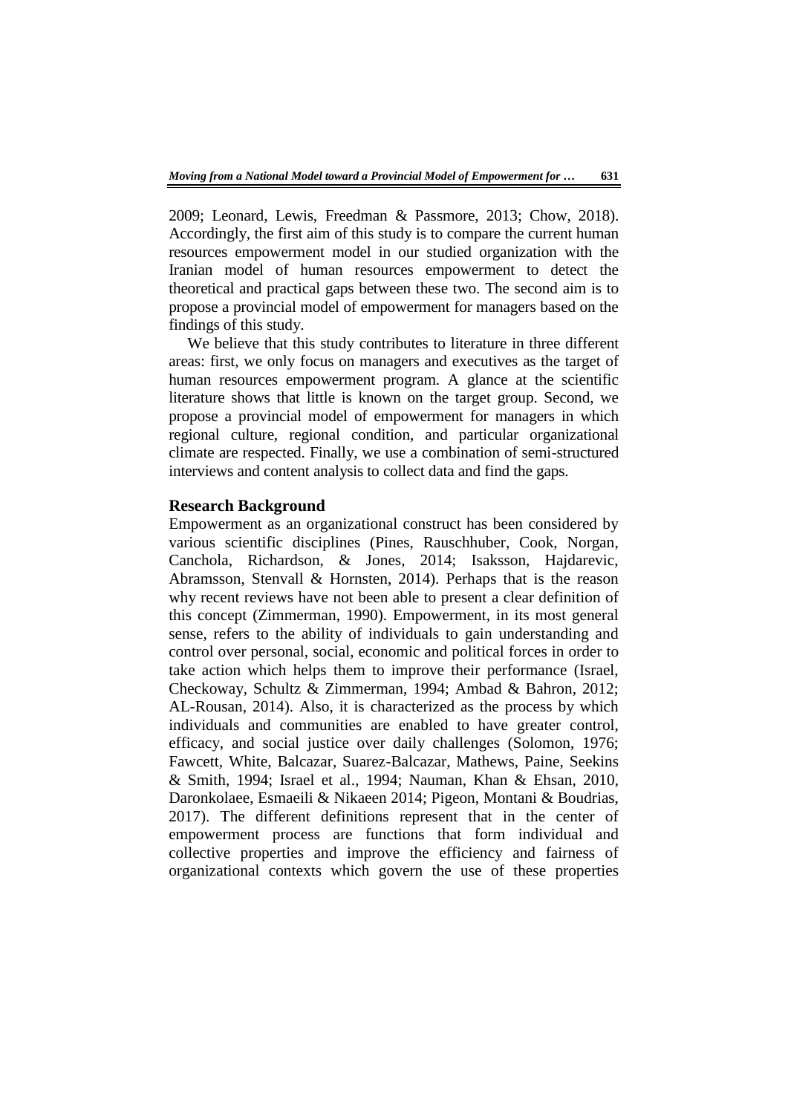2009; Leonard, Lewis, Freedman & Passmore, 2013; Chow, 2018). Accordingly, the first aim of this study is to compare the current human resources empowerment model in our studied organization with the Iranian model of human resources empowerment to detect the theoretical and practical gaps between these two. The second aim is to propose a provincial model of empowerment for managers based on the findings of this study.

We believe that this study contributes to literature in three different areas: first, we only focus on managers and executives as the target of human resources empowerment program. A glance at the scientific literature shows that little is known on the target group. Second, we propose a provincial model of empowerment for managers in which regional culture, regional condition, and particular organizational climate are respected. Finally, we use a combination of semi-structured interviews and content analysis to collect data and find the gaps.

#### **Research Background**

Empowerment as an organizational construct has been considered by various scientific disciplines (Pines, Rauschhuber, Cook, Norgan, Canchola, Richardson, & Jones, 2014; Isaksson, Hajdarevic, Abramsson, Stenvall & Hornsten, 2014). Perhaps that is the reason why recent reviews have not been able to present a clear definition of this concept (Zimmerman, 1990). Empowerment, in its most general sense, refers to the ability of individuals to gain understanding and control over personal, social, economic and political forces in order to take action which helps them to improve their performance (Israel, Checkoway, Schultz & Zimmerman, 1994; Ambad & Bahron, 2012; AL-Rousan, 2014). Also, it is characterized as the process by which individuals and communities are enabled to have greater control, efficacy, and social justice over daily challenges (Solomon, 1976; Fawcett, White, Balcazar, Suarez-Balcazar, Mathews, Paine, Seekins & Smith, 1994; Israel et al., 1994; Nauman, Khan & Ehsan, 2010, Daronkolaee, Esmaeili & Nikaeen 2014; Pigeon, Montani & Boudrias, 2017). The different definitions represent that in the center of empowerment process are functions that form individual and collective properties and improve the efficiency and fairness of organizational contexts which govern the use of these properties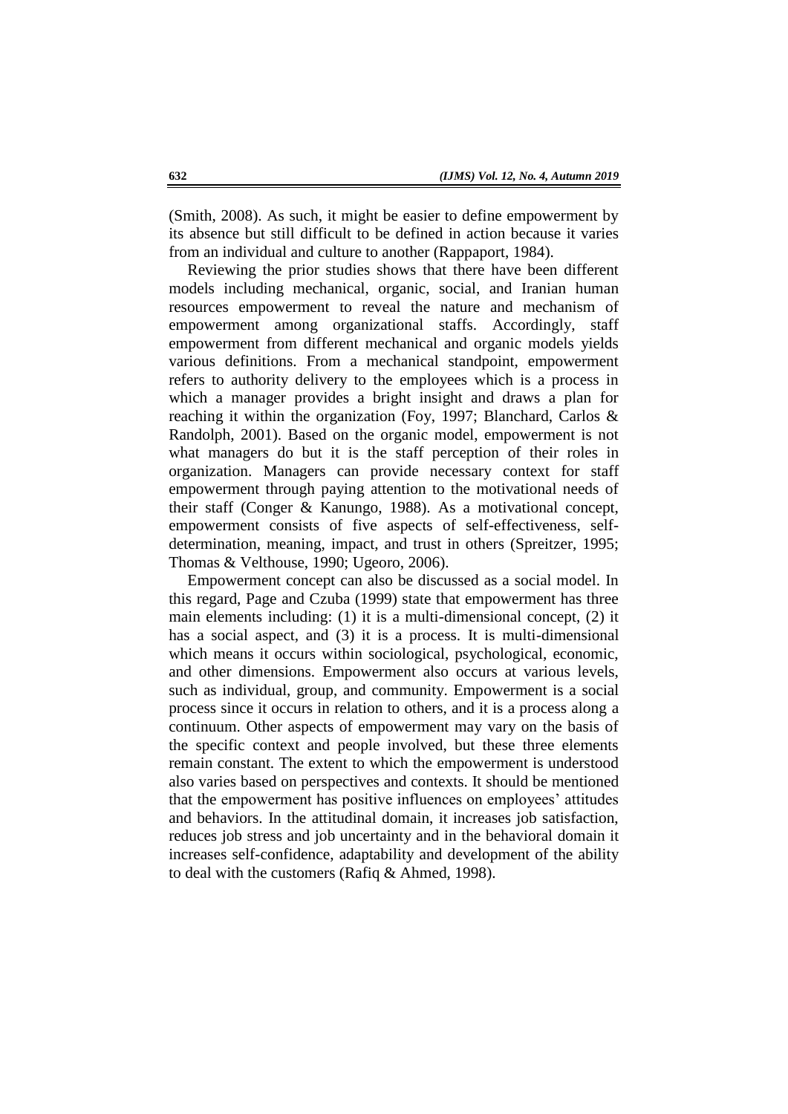(Smith, 2008). As such, it might be easier to define empowerment by its absence but still difficult to be defined in action because it varies from an individual and culture to another (Rappaport, 1984).

Reviewing the prior studies shows that there have been different models including mechanical, organic, social, and Iranian human resources empowerment to reveal the nature and mechanism of empowerment among organizational staffs. Accordingly, staff empowerment from different mechanical and organic models yields various definitions. From a mechanical standpoint, empowerment refers to authority delivery to the employees which is a process in which a manager provides a bright insight and draws a plan for reaching it within the organization (Foy, 1997; Blanchard, Carlos & Randolph, 2001). Based on the organic model, empowerment is not what managers do but it is the staff perception of their roles in organization. Managers can provide necessary context for staff empowerment through paying attention to the motivational needs of their staff (Conger & Kanungo, 1988). As a motivational concept, empowerment consists of five aspects of self-effectiveness, selfdetermination, meaning, impact, and trust in others (Spreitzer, 1995; Thomas & Velthouse, 1990; Ugeoro, 2006).

Empowerment concept can also be discussed as a social model. In this regard, Page and Czuba (1999) state that empowerment has three main elements including: (1) it is a multi-dimensional concept, (2) it has a social aspect, and (3) it is a process. It is multi-dimensional which means it occurs within sociological, psychological, economic, and other dimensions. Empowerment also occurs at various levels, such as individual, group, and community. Empowerment is a social process since it occurs in relation to others, and it is a process along a continuum. Other aspects of empowerment may vary on the basis of the specific context and people involved, but these three elements remain constant. The extent to which the empowerment is understood also varies based on perspectives and contexts. It should be mentioned that the empowerment has positive influences on employees' attitudes and behaviors. In the attitudinal domain, it increases job satisfaction, reduces job stress and job uncertainty and in the behavioral domain it increases self-confidence, adaptability and development of the ability to deal with the customers (Rafiq & Ahmed, 1998).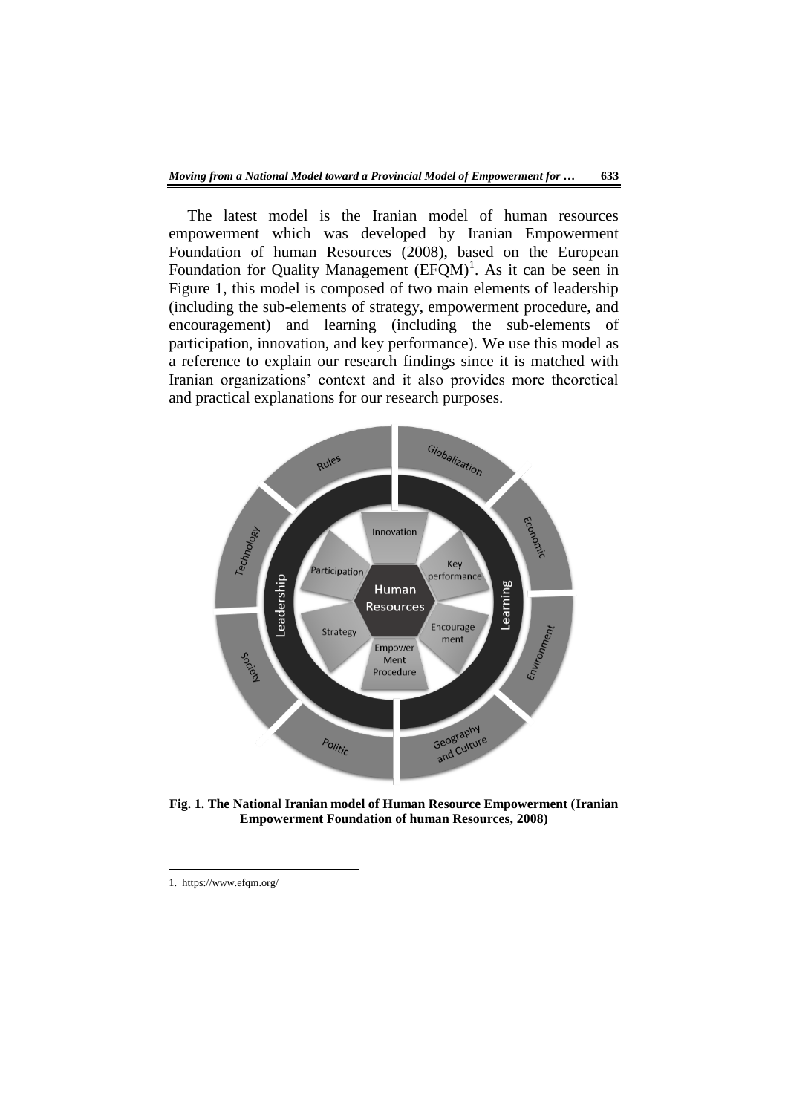The latest model is the Iranian model of human resources empowerment which was developed by Iranian Empowerment Foundation of human Resources (2008), based on the European Foundation for Quality Management  $(EFQM)^1$ . As it can be seen in Figure 1, this model is composed of two main elements of leadership (including the sub-elements of strategy, empowerment procedure, and encouragement) and learning (including the sub-elements of participation, innovation, and key performance). We use this model as a reference to explain our research findings since it is matched with Iranian organizations' context and it also provides more theoretical and practical explanations for our research purposes.



**Fig. 1. The National Iranian model of Human Resource Empowerment (Iranian Empowerment Foundation of human Resources, 2008)**

-

<sup>1.</sup> https://www.efqm.org/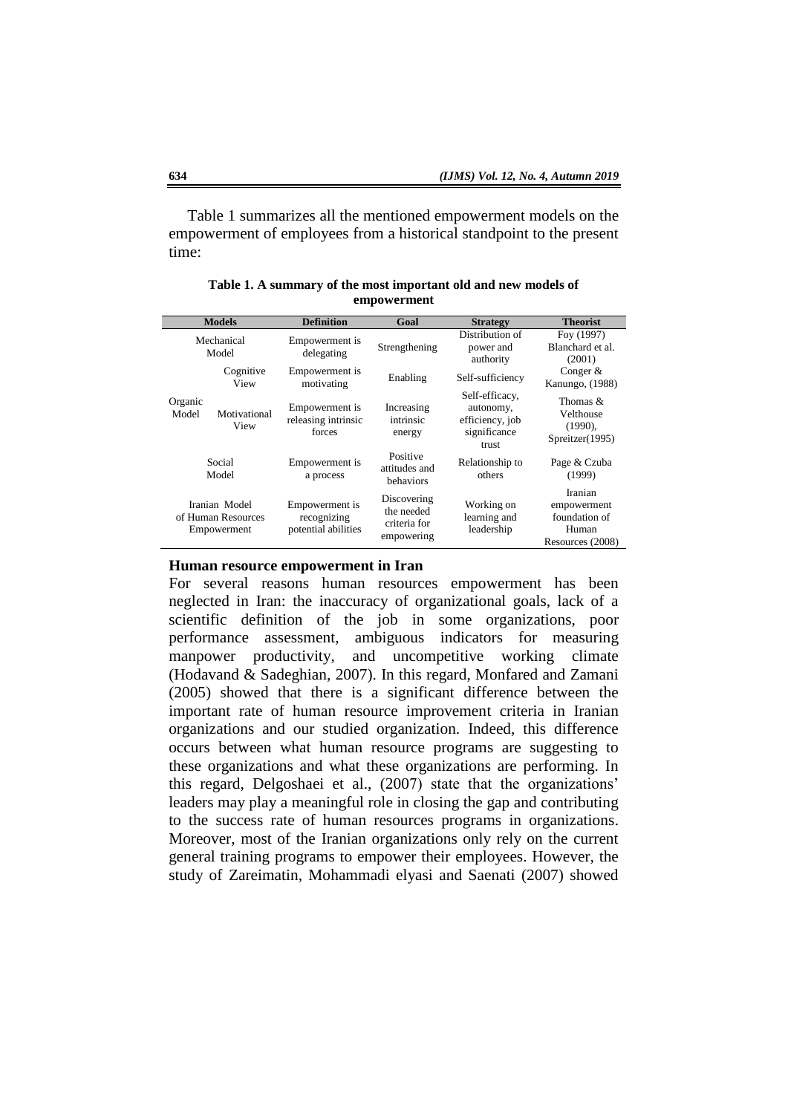Table 1 summarizes all the mentioned empowerment models on the empowerment of employees from a historical standpoint to the present time:

| <b>Models</b>                                      |                      | <b>Definition</b>                                    | Goal                                                    | <b>Strategy</b>                                                         | <b>Theorist</b>                                                      |
|----------------------------------------------------|----------------------|------------------------------------------------------|---------------------------------------------------------|-------------------------------------------------------------------------|----------------------------------------------------------------------|
| Mechanical<br>Model                                |                      | Empowerment is<br>delegating                         | Strengthening                                           | Distribution of<br>power and<br>authority                               | Foy (1997)<br>Blanchard et al.<br>(2001)                             |
|                                                    | Cognitive<br>View    | Empowerment is<br>motivating                         | Enabling                                                | Self-sufficiency                                                        | Conger $&$<br>Kanungo, (1988)                                        |
| Organic<br>Model                                   | Motivational<br>View | Empowerment is<br>releasing intrinsic<br>forces      | Increasing<br>intrinsic<br>energy                       | Self-efficacy,<br>autonomy,<br>efficiency, job<br>significance<br>trust | Thomas $&$<br>Velthouse<br>$(1990)$ ,<br>Spreitzer(1995)             |
| Social<br>Model                                    |                      | Empowerment is<br>a process                          | Positive<br>attitudes and<br>behaviors                  | Relationship to<br>others                                               | Page & Czuba<br>(1999)                                               |
| Iranian Model<br>of Human Resources<br>Empowerment |                      | Empowerment is<br>recognizing<br>potential abilities | Discovering<br>the needed<br>criteria for<br>empowering | Working on<br>learning and<br>leadership                                | Iranian<br>empowerment<br>foundation of<br>Human<br>Resources (2008) |

**Table 1. A summary of the most important old and new models of empowerment**

#### **Human resource empowerment in Iran**

For several reasons human resources empowerment has been neglected in Iran: the inaccuracy of organizational goals, lack of a scientific definition of the job in some organizations, poor performance assessment, ambiguous indicators for measuring manpower productivity, and uncompetitive working climate (Hodavand & Sadeghian, 2007). In this regard, Monfared and Zamani (2005) showed that there is a significant difference between the important rate of human resource improvement criteria in Iranian organizations and our studied organization. Indeed, this difference occurs between what human resource programs are suggesting to these organizations and what these organizations are performing. In this regard, Delgoshaei et al., (2007) state that the organizations' leaders may play a meaningful role in closing the gap and contributing to the success rate of human resources programs in organizations. Moreover, most of the Iranian organizations only rely on the current general training programs to empower their employees. However, the study of Zareimatin, Mohammadi elyasi and Saenati (2007) showed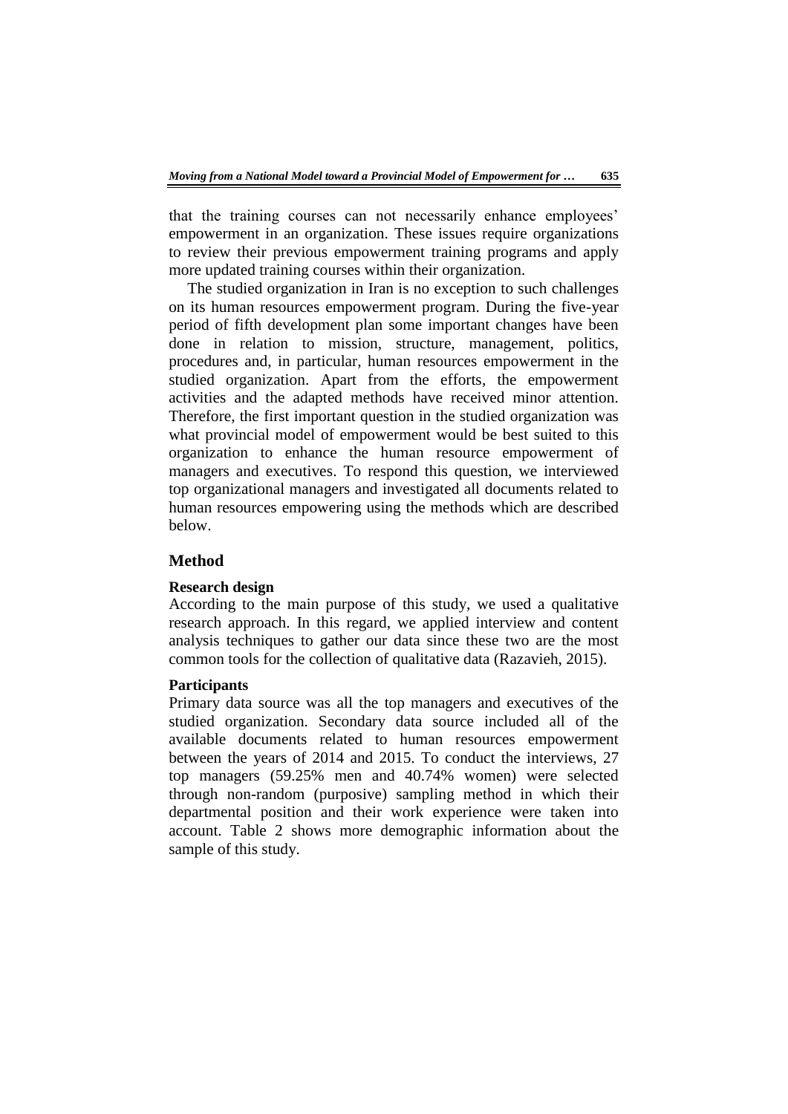that the training courses can not necessarily enhance employees' empowerment in an organization. These issues require organizations to review their previous empowerment training programs and apply more updated training courses within their organization.

The studied organization in Iran is no exception to such challenges on its human resources empowerment program. During the five-year period of fifth development plan some important changes have been done in relation to mission, structure, management, politics, procedures and, in particular, human resources empowerment in the studied organization. Apart from the efforts, the empowerment activities and the adapted methods have received minor attention. Therefore, the first important question in the studied organization was what provincial model of empowerment would be best suited to this organization to enhance the human resource empowerment of managers and executives. To respond this question, we interviewed top organizational managers and investigated all documents related to human resources empowering using the methods which are described below.

# **Method**

#### **Research design**

According to the main purpose of this study, we used a qualitative research approach. In this regard, we applied interview and content analysis techniques to gather our data since these two are the most common tools for the collection of qualitative data (Razavieh, 2015).

#### **Participants**

Primary data source was all the top managers and executives of the studied organization. Secondary data source included all of the available documents related to human resources empowerment between the years of 2014 and 2015. To conduct the interviews, 27 top managers (59.25% men and 40.74% women) were selected through non-random (purposive) sampling method in which their departmental position and their work experience were taken into account. Table 2 shows more demographic information about the sample of this study.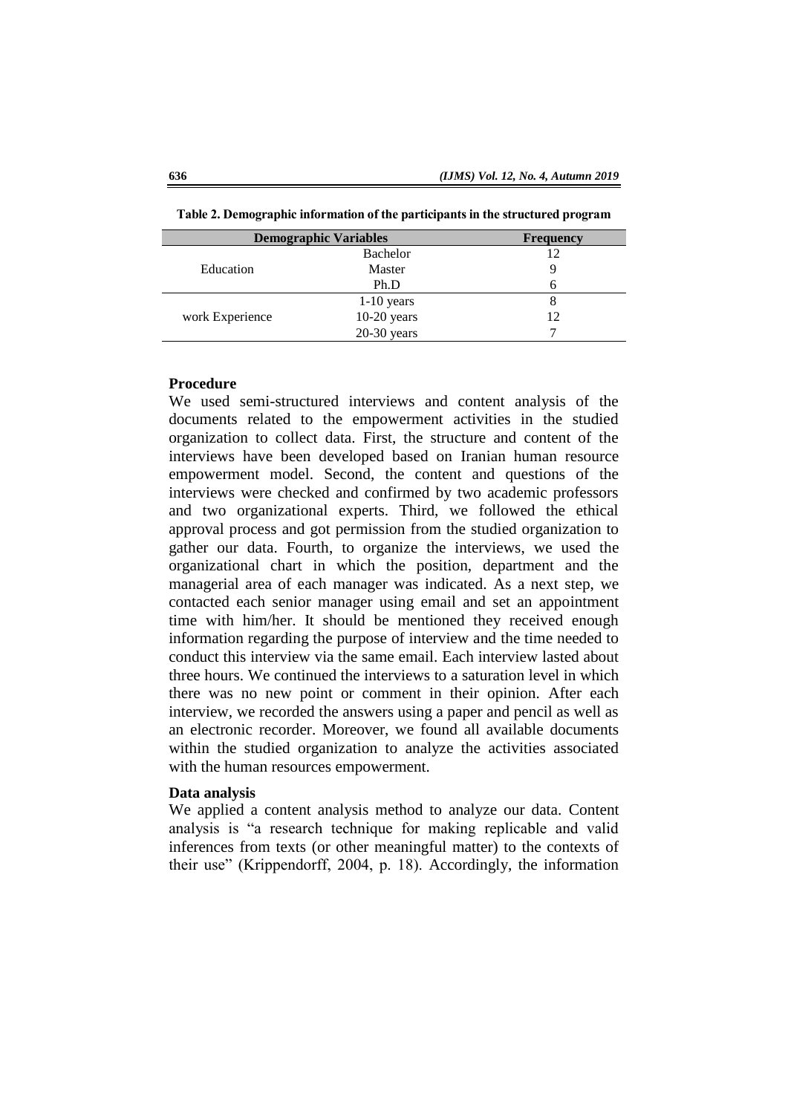| <b>Demographic Variables</b> | <b>Frequency</b> |    |
|------------------------------|------------------|----|
|                              | Bachelor         | 12 |
| Education                    | Master           |    |
|                              | Ph.D             | n  |
|                              | $1-10$ years     |    |
| work Experience              | $10-20$ years    | 12 |
|                              | $20-30$ years    |    |

**Table 2. Demographic information of the participants in the structured program**

#### **Procedure**

We used semi-structured interviews and content analysis of the documents related to the empowerment activities in the studied organization to collect data. First, the structure and content of the interviews have been developed based on Iranian human resource empowerment model. Second, the content and questions of the interviews were checked and confirmed by two academic professors and two organizational experts. Third, we followed the ethical approval process and got permission from the studied organization to gather our data. Fourth, to organize the interviews, we used the organizational chart in which the position, department and the managerial area of each manager was indicated. As a next step, we contacted each senior manager using email and set an appointment time with him/her. It should be mentioned they received enough information regarding the purpose of interview and the time needed to conduct this interview via the same email. Each interview lasted about three hours. We continued the interviews to a saturation level in which there was no new point or comment in their opinion. After each interview, we recorded the answers using a paper and pencil as well as an electronic recorder. Moreover, we found all available documents within the studied organization to analyze the activities associated with the human resources empowerment.

#### **Data analysis**

We applied a content analysis method to analyze our data. Content analysis is "a research technique for making replicable and valid inferences from texts (or other meaningful matter) to the contexts of their use" (Krippendorff, 2004, p. 18). Accordingly, the information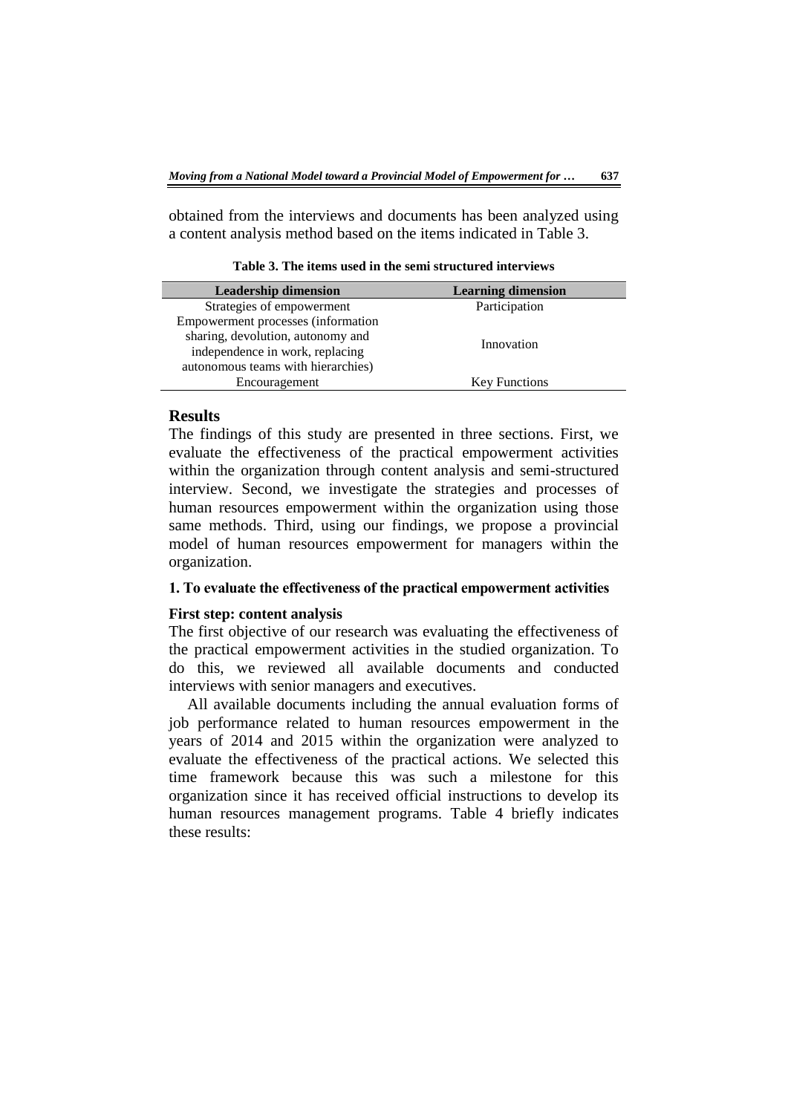obtained from the interviews and documents has been analyzed using a content analysis method based on the items indicated in Table 3.

**Leadership dimension**<br>trategies of empowerment **Learning dimension**<br>Participation Strategies of empowerment Empowerment processes (information sharing, devolution, autonomy and independence in work, replacing autonomous teams with hierarchies) Innovation Encouragement Key Functions

**Table 3. The items used in the semi structured interviews** 

#### **Results**

The findings of this study are presented in three sections. First, we evaluate the effectiveness of the practical empowerment activities within the organization through content analysis and semi-structured interview. Second, we investigate the strategies and processes of human resources empowerment within the organization using those same methods. Third, using our findings, we propose a provincial model of human resources empowerment for managers within the organization.

#### **1. To evaluate the effectiveness of the practical empowerment activities**

# **First step: content analysis**

The first objective of our research was evaluating the effectiveness of the practical empowerment activities in the studied organization. To do this, we reviewed all available documents and conducted interviews with senior managers and executives.

All available documents including the annual evaluation forms of job performance related to human resources empowerment in the years of 2014 and 2015 within the organization were analyzed to evaluate the effectiveness of the practical actions. We selected this time framework because this was such a milestone for this organization since it has received official instructions to develop its human resources management programs. Table 4 briefly indicates these results: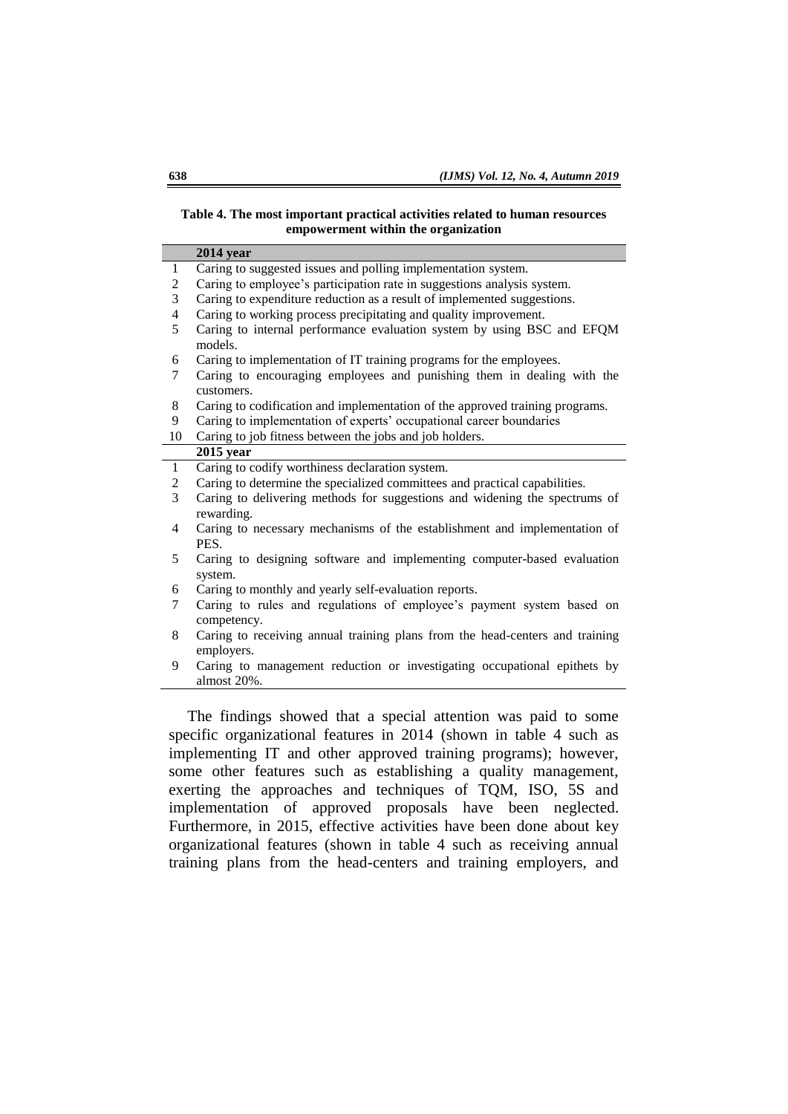#### **Table 4. The most important practical activities related to human resources empowerment within the organization**

|                | $2014$ year                                                                                |
|----------------|--------------------------------------------------------------------------------------------|
| $\mathbf{1}$   | Caring to suggested issues and polling implementation system.                              |
| $\mathbf{2}$   | Caring to employee's participation rate in suggestions analysis system.                    |
| 3              | Caring to expenditure reduction as a result of implemented suggestions.                    |
| 4              | Caring to working process precipitating and quality improvement.                           |
| 5              | Caring to internal performance evaluation system by using BSC and EFQM<br>models.          |
| 6              | Caring to implementation of IT training programs for the employees.                        |
| 7              | Caring to encouraging employees and punishing them in dealing with the<br>customers.       |
| 8              | Caring to codification and implementation of the approved training programs.               |
| 9              | Caring to implementation of experts' occupational career boundaries                        |
| 10             | Caring to job fitness between the jobs and job holders.                                    |
|                | $2015$ year                                                                                |
| $\mathbf{1}$   | Caring to codify worthiness declaration system.                                            |
| $\overline{c}$ | Caring to determine the specialized committees and practical capabilities.                 |
| 3              | Caring to delivering methods for suggestions and widening the spectrums of<br>rewarding.   |
| 4              | Caring to necessary mechanisms of the establishment and implementation of<br>PES.          |
| 5              | Caring to designing software and implementing computer-based evaluation<br>system.         |
| 6              | Caring to monthly and yearly self-evaluation reports.                                      |
| 7              | Caring to rules and regulations of employee's payment system based on<br>competency.       |
| 8              | Caring to receiving annual training plans from the head-centers and training<br>employers. |
| 9              | Caring to management reduction or investigating occupational epithets by<br>almost 20%.    |

The findings showed that a special attention was paid to some specific organizational features in 2014 (shown in table 4 such as implementing IT and other approved training programs); however, some other features such as establishing a quality management, exerting the approaches and techniques of TQM, ISO, 5S and implementation of approved proposals have been neglected. Furthermore, in 2015, effective activities have been done about key organizational features (shown in table 4 such as receiving annual training plans from the head-centers and training employers, and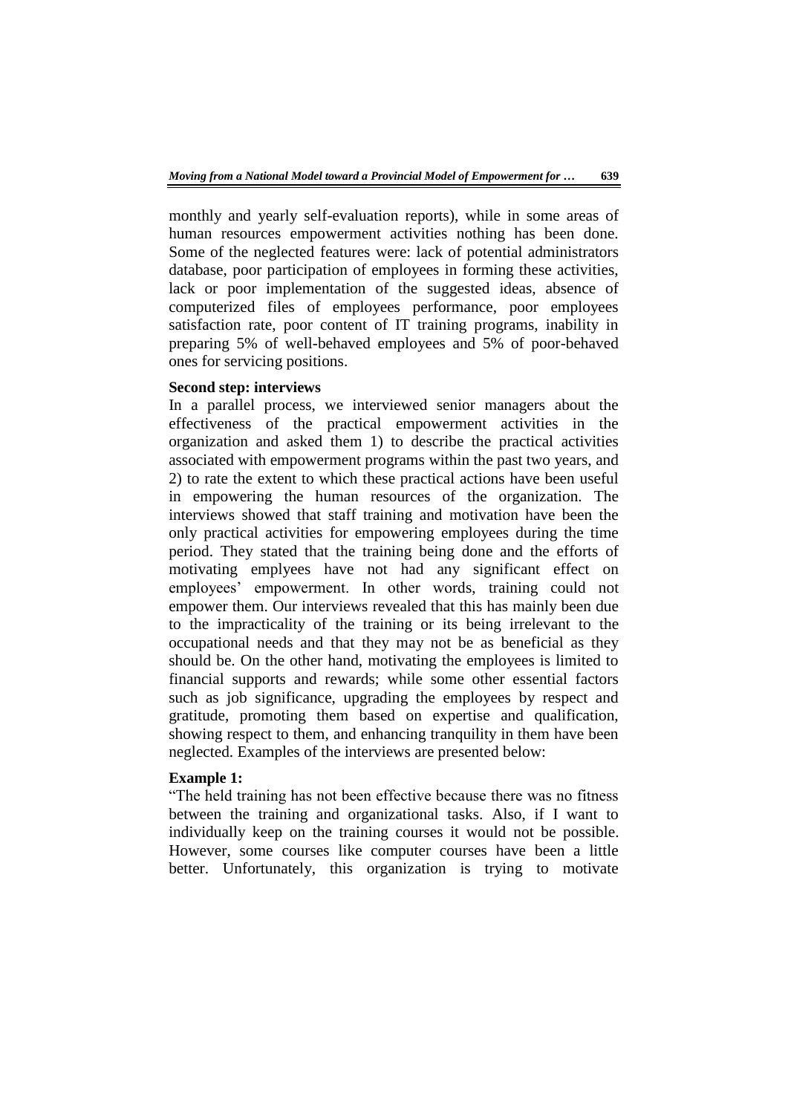monthly and yearly self-evaluation reports), while in some areas of human resources empowerment activities nothing has been done. Some of the neglected features were: lack of potential administrators database, poor participation of employees in forming these activities, lack or poor implementation of the suggested ideas, absence of computerized files of employees performance, poor employees satisfaction rate, poor content of IT training programs, inability in preparing 5% of well-behaved employees and 5% of poor-behaved ones for servicing positions.

# **Second step: interviews**

In a parallel process, we interviewed senior managers about the effectiveness of the practical empowerment activities in the organization and asked them 1) to describe the practical activities associated with empowerment programs within the past two years, and 2) to rate the extent to which these practical actions have been useful in empowering the human resources of the organization. The interviews showed that staff training and motivation have been the only practical activities for empowering employees during the time period. They stated that the training being done and the efforts of motivating emplyees have not had any significant effect on employees' empowerment. In other words, training could not empower them. Our interviews revealed that this has mainly been due to the impracticality of the training or its being irrelevant to the occupational needs and that they may not be as beneficial as they should be. On the other hand, motivating the employees is limited to financial supports and rewards; while some other essential factors such as job significance, upgrading the employees by respect and gratitude, promoting them based on expertise and qualification, showing respect to them, and enhancing tranquility in them have been neglected. Examples of the interviews are presented below:

# **Example 1:**

"The held training has not been effective because there was no fitness between the training and organizational tasks. Also, if I want to individually keep on the training courses it would not be possible. However, some courses like computer courses have been a little better. Unfortunately, this organization is trying to motivate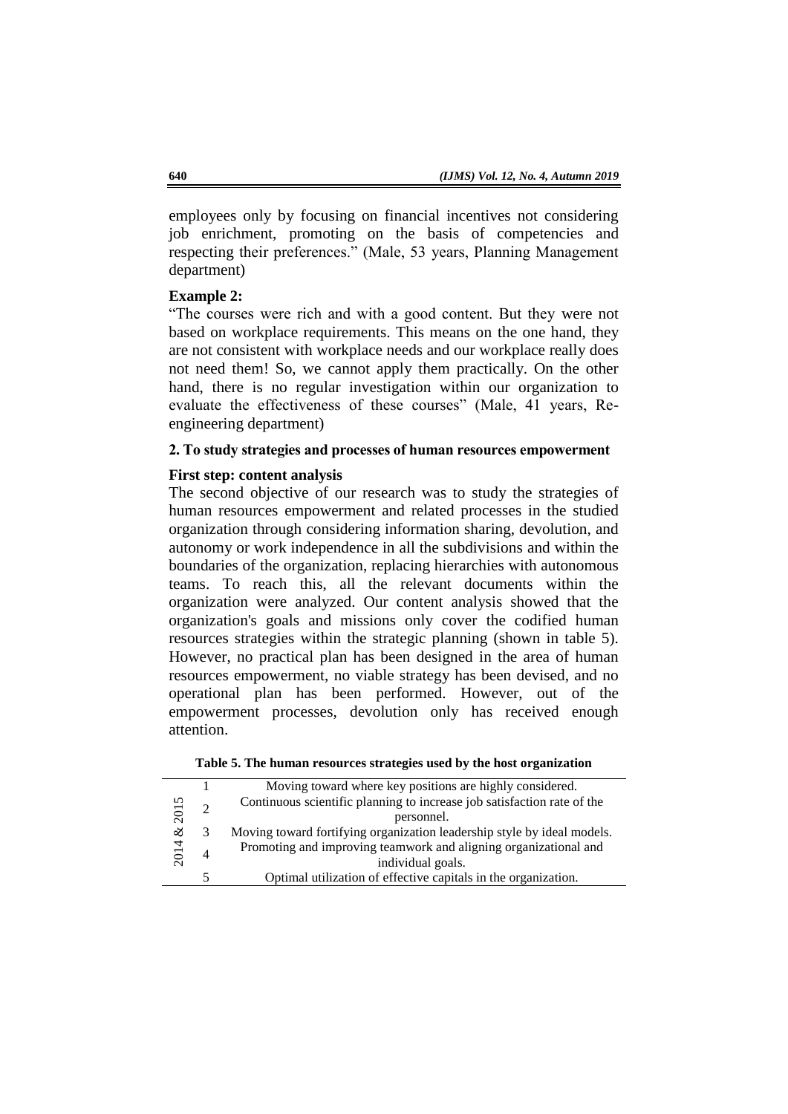employees only by focusing on financial incentives not considering job enrichment, promoting on the basis of competencies and respecting their preferences." (Male, 53 years, Planning Management department)

### **Example 2:**

"The courses were rich and with a good content. But they were not based on workplace requirements. This means on the one hand, they are not consistent with workplace needs and our workplace really does not need them! So, we cannot apply them practically. On the other hand, there is no regular investigation within our organization to evaluate the effectiveness of these courses" (Male, 41 years, Reengineering department)

# **2. To study strategies and processes of human resources empowerment**

#### **First step: content analysis**

The second objective of our research was to study the strategies of human resources empowerment and related processes in the studied organization through considering information sharing, devolution, and autonomy or work independence in all the subdivisions and within the boundaries of the organization, replacing hierarchies with autonomous teams. To reach this, all the relevant documents within the organization were analyzed. Our content analysis showed that the organization's goals and missions only cover the codified human resources strategies within the strategic planning (shown in table 5). However, no practical plan has been designed in the area of human resources empowerment, no viable strategy has been devised, and no operational plan has been performed. However, out of the empowerment processes, devolution only has received enough attention.

|  |  |  | Table 5. The human resources strategies used by the host organization |
|--|--|--|-----------------------------------------------------------------------|
|  |  |  |                                                                       |

|      |            | Moving toward where key positions are highly considered.                |
|------|------------|-------------------------------------------------------------------------|
|      |            | Continuous scientific planning to increase job satisfaction rate of the |
| 2015 | personnel. |                                                                         |
| ళ    |            | Moving toward fortifying organization leadership style by ideal models. |
| 2014 |            | Promoting and improving teamwork and aligning organizational and        |
|      |            | individual goals.                                                       |
|      |            | Optimal utilization of effective capitals in the organization.          |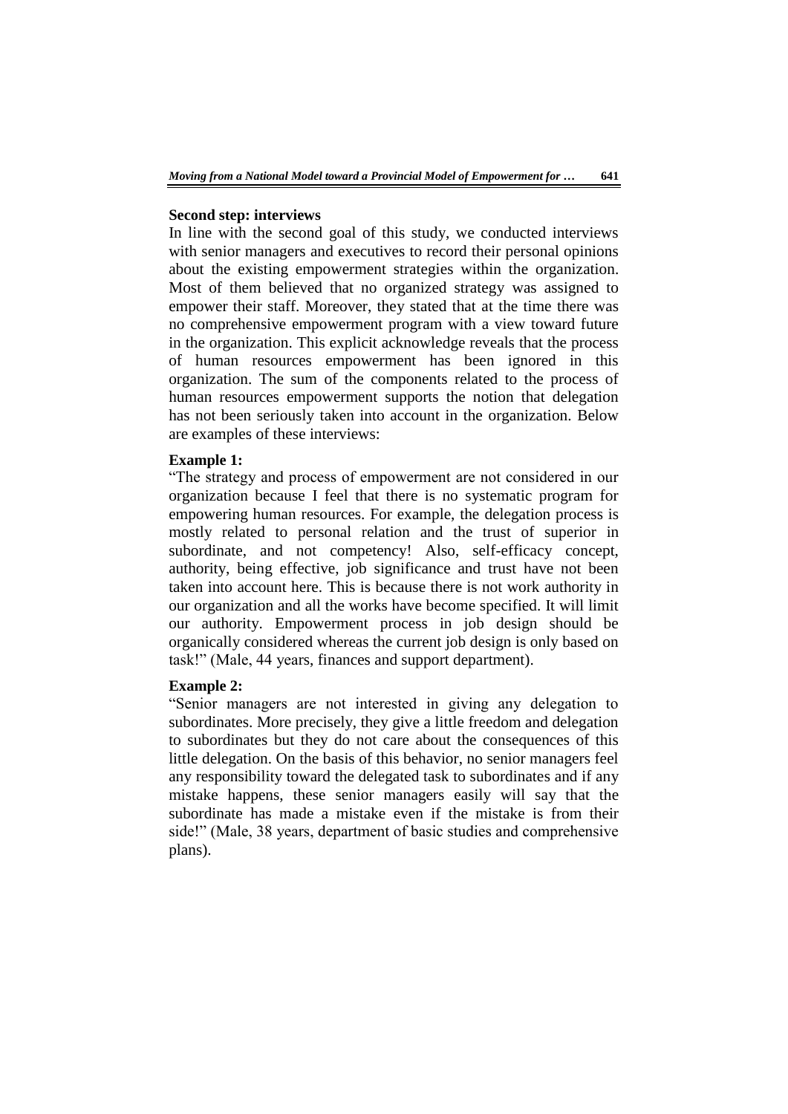#### **Second step: interviews**

In line with the second goal of this study, we conducted interviews with senior managers and executives to record their personal opinions about the existing empowerment strategies within the organization. Most of them believed that no organized strategy was assigned to empower their staff. Moreover, they stated that at the time there was no comprehensive empowerment program with a view toward future in the organization. This explicit acknowledge reveals that the process of human resources empowerment has been ignored in this organization. The sum of the components related to the process of human resources empowerment supports the notion that delegation has not been seriously taken into account in the organization. Below are examples of these interviews:

# **Example 1:**

"The strategy and process of empowerment are not considered in our organization because I feel that there is no systematic program for empowering human resources. For example, the delegation process is mostly related to personal relation and the trust of superior in subordinate, and not competency! Also, self-efficacy concept, authority, being effective, job significance and trust have not been taken into account here. This is because there is not work authority in our organization and all the works have become specified. It will limit our authority. Empowerment process in job design should be organically considered whereas the current job design is only based on task!" (Male, 44 years, finances and support department).

## **Example 2:**

"Senior managers are not interested in giving any delegation to subordinates. More precisely, they give a little freedom and delegation to subordinates but they do not care about the consequences of this little delegation. On the basis of this behavior, no senior managers feel any responsibility toward the delegated task to subordinates and if any mistake happens, these senior managers easily will say that the subordinate has made a mistake even if the mistake is from their side!" (Male, 38 years, department of basic studies and comprehensive plans).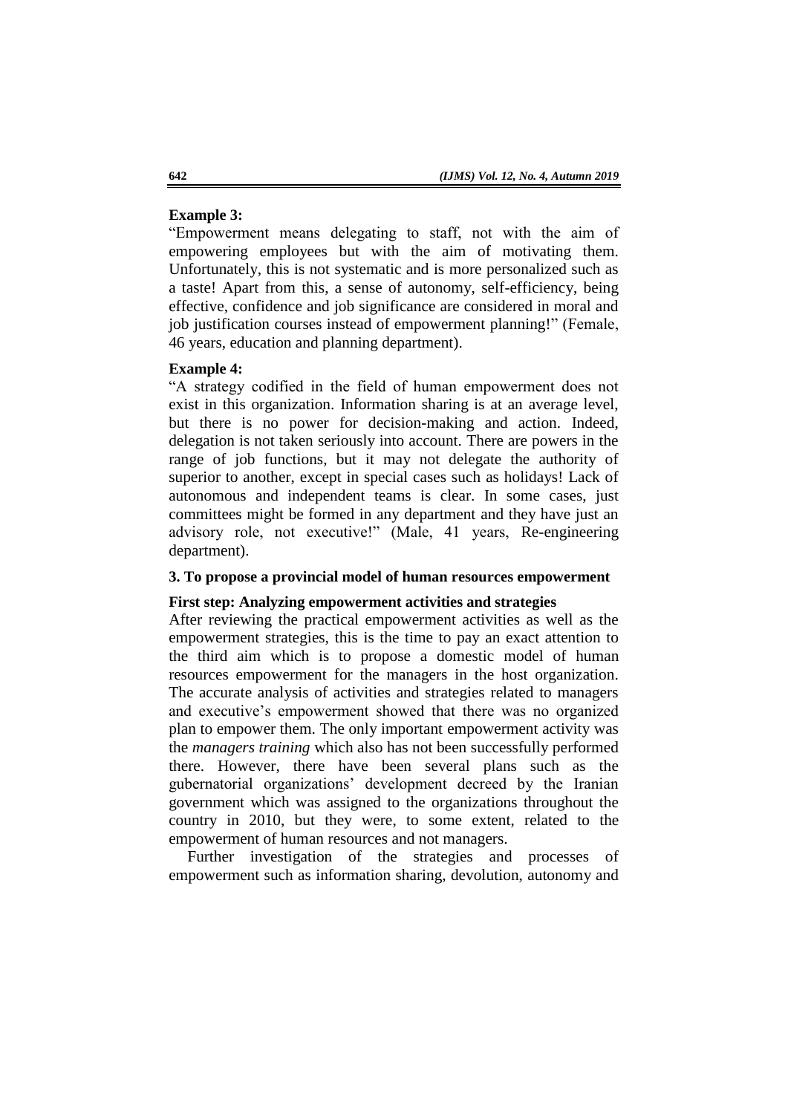# **Example 3:**

"Empowerment means delegating to staff, not with the aim of empowering employees but with the aim of motivating them. Unfortunately, this is not systematic and is more personalized such as a taste! Apart from this, a sense of autonomy, self-efficiency, being effective, confidence and job significance are considered in moral and job justification courses instead of empowerment planning!" (Female, 46 years, education and planning department).

# **Example 4:**

"A strategy codified in the field of human empowerment does not exist in this organization. Information sharing is at an average level, but there is no power for decision-making and action. Indeed, delegation is not taken seriously into account. There are powers in the range of job functions, but it may not delegate the authority of superior to another, except in special cases such as holidays! Lack of autonomous and independent teams is clear. In some cases, just committees might be formed in any department and they have just an advisory role, not executive!" (Male, 41 years, Re-engineering department).

# **3. To propose a provincial model of human resources empowerment**

#### **First step: Analyzing empowerment activities and strategies**

After reviewing the practical empowerment activities as well as the empowerment strategies, this is the time to pay an exact attention to the third aim which is to propose a domestic model of human resources empowerment for the managers in the host organization. The accurate analysis of activities and strategies related to managers and executive's empowerment showed that there was no organized plan to empower them. The only important empowerment activity was the *managers training* which also has not been successfully performed there. However, there have been several plans such as the gubernatorial organizations' development decreed by the Iranian government which was assigned to the organizations throughout the country in 2010, but they were, to some extent, related to the empowerment of human resources and not managers.

Further investigation of the strategies and processes of empowerment such as information sharing, devolution, autonomy and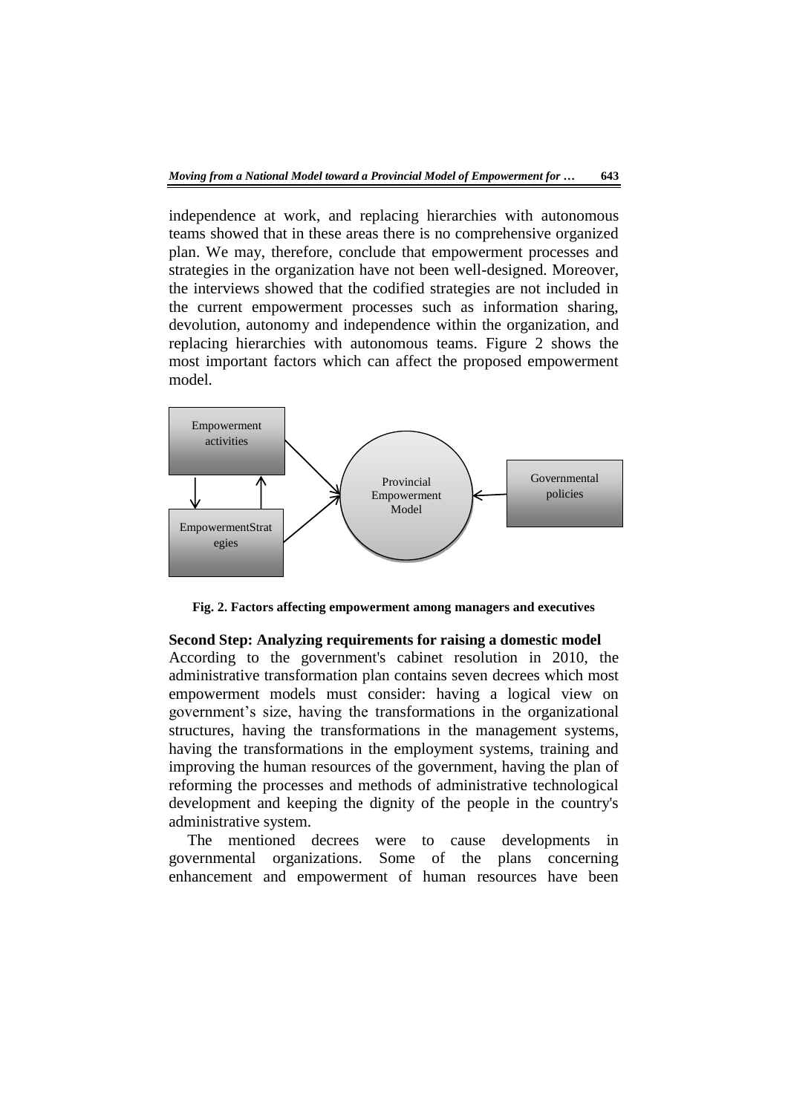independence at work, and replacing hierarchies with autonomous teams showed that in these areas there is no comprehensive organized plan. We may, therefore, conclude that empowerment processes and strategies in the organization have not been well-designed. Moreover, the interviews showed that the codified strategies are not included in the current empowerment processes such as information sharing, devolution, autonomy and independence within the organization, and replacing hierarchies with autonomous teams. Figure 2 shows the most important factors which can affect the proposed empowerment model.



**Fig. 2. Factors affecting empowerment among managers and executives** 

**Second Step: Analyzing requirements for raising a domestic model** According to the government's cabinet resolution in 2010, the administrative transformation plan contains seven decrees which most empowerment models must consider: having a logical view on government's size, having the transformations in the organizational structures, having the transformations in the management systems, having the transformations in the employment systems, training and improving the human resources of the government, having the plan of reforming the processes and methods of administrative technological development and keeping the dignity of the people in the country's administrative system.

The mentioned decrees were to cause developments in governmental organizations. Some of the plans concerning enhancement and empowerment of human resources have been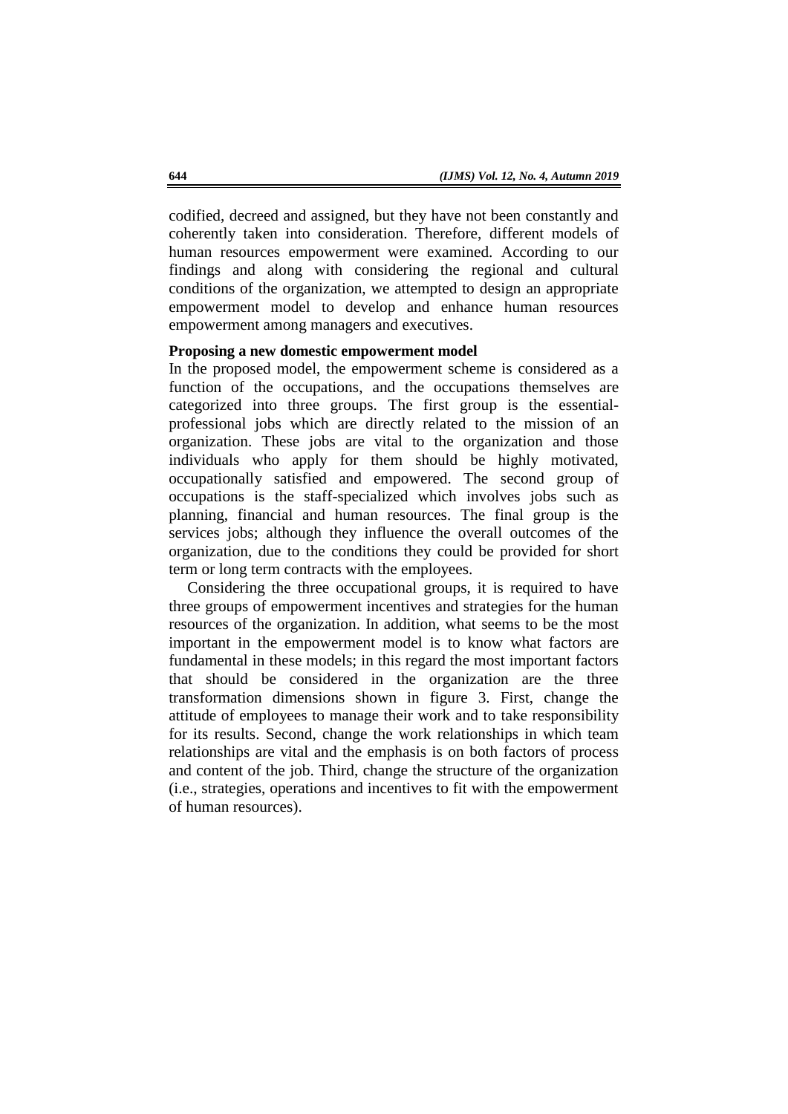codified, decreed and assigned, but they have not been constantly and coherently taken into consideration. Therefore, different models of human resources empowerment were examined. According to our findings and along with considering the regional and cultural conditions of the organization, we attempted to design an appropriate empowerment model to develop and enhance human resources empowerment among managers and executives.

### **Proposing a new domestic empowerment model**

In the proposed model, the empowerment scheme is considered as a function of the occupations, and the occupations themselves are categorized into three groups. The first group is the essentialprofessional jobs which are directly related to the mission of an organization. These jobs are vital to the organization and those individuals who apply for them should be highly motivated, occupationally satisfied and empowered. The second group of occupations is the staff-specialized which involves jobs such as planning, financial and human resources. The final group is the services jobs; although they influence the overall outcomes of the organization, due to the conditions they could be provided for short term or long term contracts with the employees.

Considering the three occupational groups, it is required to have three groups of empowerment incentives and strategies for the human resources of the organization. In addition, what seems to be the most important in the empowerment model is to know what factors are fundamental in these models; in this regard the most important factors that should be considered in the organization are the three transformation dimensions shown in figure 3. First, change the attitude of employees to manage their work and to take responsibility for its results. Second, change the work relationships in which team relationships are vital and the emphasis is on both factors of process and content of the job. Third, change the structure of the organization (i.e., strategies, operations and incentives to fit with the empowerment of human resources).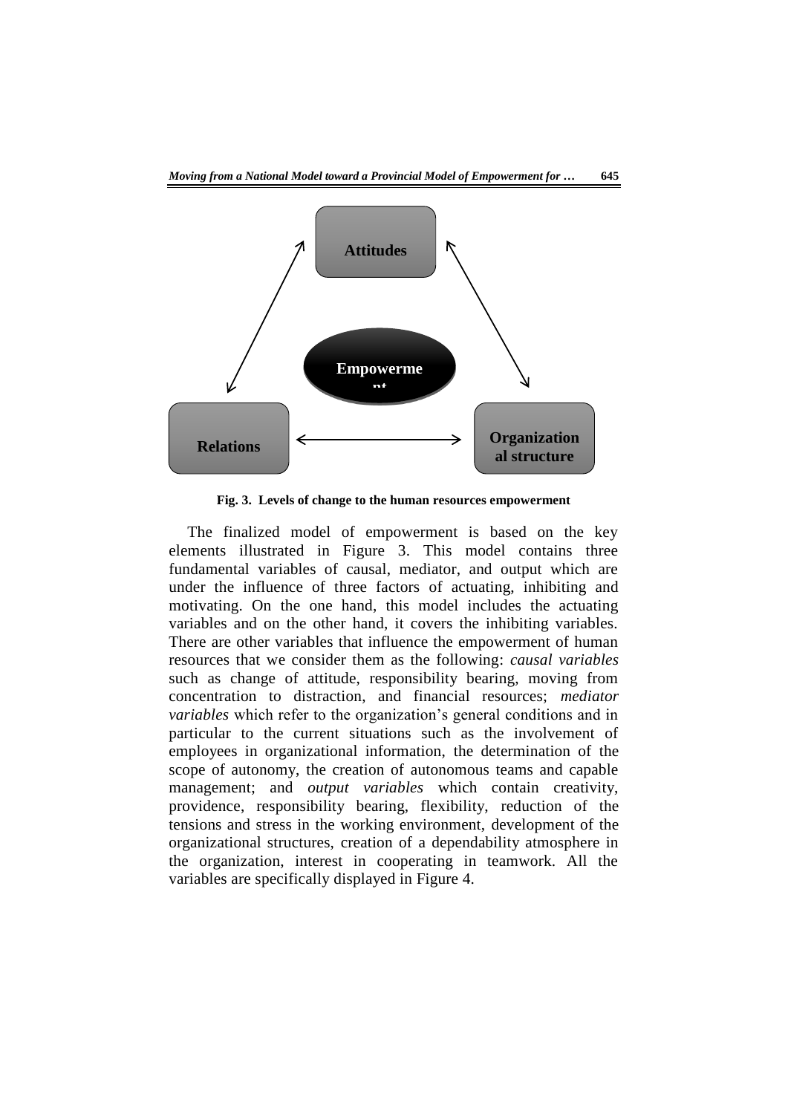

**Fig. 3. Levels of change to the human resources empowerment**

The finalized model of empowerment is based on the key elements illustrated in Figure 3. This model contains three fundamental variables of causal, mediator, and output which are under the influence of three factors of actuating, inhibiting and motivating. On the one hand, this model includes the actuating variables and on the other hand, it covers the inhibiting variables. There are other variables that influence the empowerment of human resources that we consider them as the following: *causal variables* such as change of attitude, responsibility bearing, moving from concentration to distraction, and financial resources; *mediator variables* which refer to the organization's general conditions and in particular to the current situations such as the involvement of employees in organizational information, the determination of the scope of autonomy, the creation of autonomous teams and capable management; and *output variables* which contain creativity, providence, responsibility bearing, flexibility, reduction of the tensions and stress in the working environment, development of the organizational structures, creation of a dependability atmosphere in the organization, interest in cooperating in teamwork. All the variables are specifically displayed in Figure 4.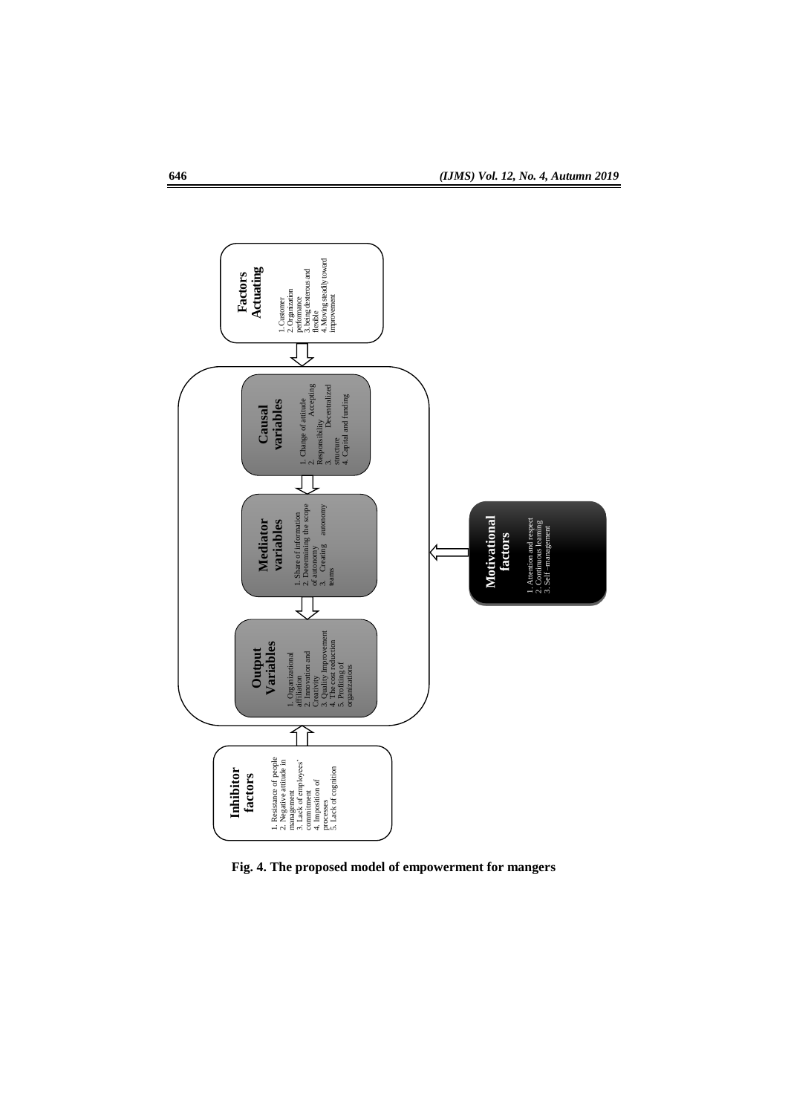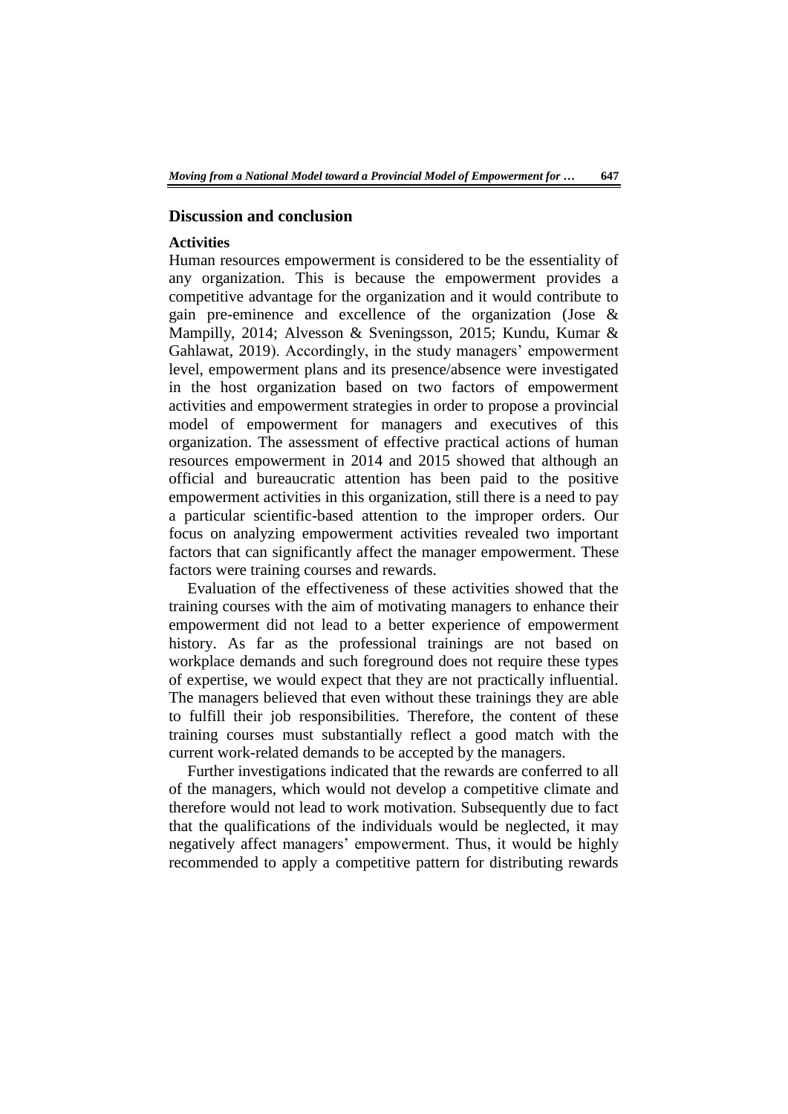# **Discussion and conclusion**

# **Activities**

Human resources empowerment is considered to be the essentiality of any organization. This is because the empowerment provides a competitive advantage for the organization and it would contribute to gain pre-eminence and excellence of the organization (Jose & Mampilly, 2014; Alvesson & Sveningsson, 2015; Kundu, Kumar & Gahlawat, 2019). Accordingly, in the study managers' empowerment level, empowerment plans and its presence/absence were investigated in the host organization based on two factors of empowerment activities and empowerment strategies in order to propose a provincial model of empowerment for managers and executives of this organization. The assessment of effective practical actions of human resources empowerment in 2014 and 2015 showed that although an official and bureaucratic attention has been paid to the positive empowerment activities in this organization, still there is a need to pay a particular scientific-based attention to the improper orders. Our focus on analyzing empowerment activities revealed two important factors that can significantly affect the manager empowerment. These factors were training courses and rewards.

Evaluation of the effectiveness of these activities showed that the training courses with the aim of motivating managers to enhance their empowerment did not lead to a better experience of empowerment history. As far as the professional trainings are not based on workplace demands and such foreground does not require these types of expertise, we would expect that they are not practically influential. The managers believed that even without these trainings they are able to fulfill their job responsibilities. Therefore, the content of these training courses must substantially reflect a good match with the current work-related demands to be accepted by the managers.

Further investigations indicated that the rewards are conferred to all of the managers, which would not develop a competitive climate and therefore would not lead to work motivation. Subsequently due to fact that the qualifications of the individuals would be neglected, it may negatively affect managers' empowerment. Thus, it would be highly recommended to apply a competitive pattern for distributing rewards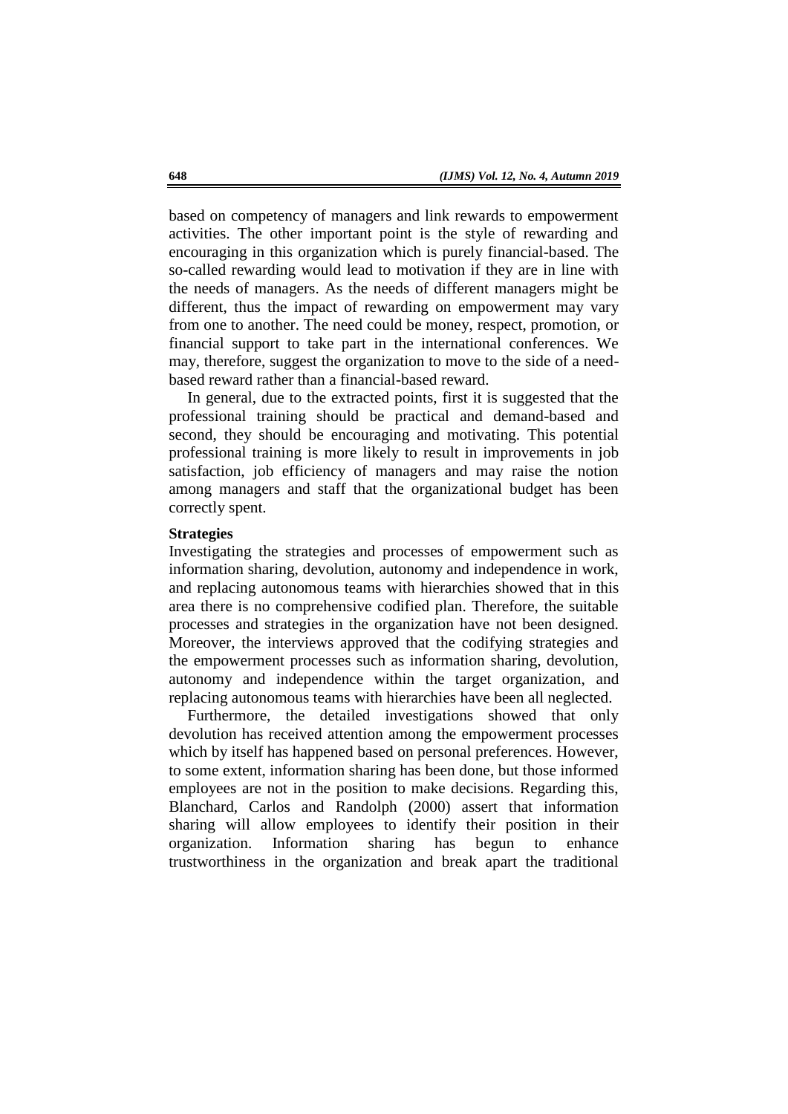based on competency of managers and link rewards to empowerment activities. The other important point is the style of rewarding and encouraging in this organization which is purely financial-based. The so-called rewarding would lead to motivation if they are in line with the needs of managers. As the needs of different managers might be different, thus the impact of rewarding on empowerment may vary from one to another. The need could be money, respect, promotion, or financial support to take part in the international conferences. We may, therefore, suggest the organization to move to the side of a needbased reward rather than a financial-based reward.

In general, due to the extracted points, first it is suggested that the professional training should be practical and demand-based and second, they should be encouraging and motivating. This potential professional training is more likely to result in improvements in job satisfaction, job efficiency of managers and may raise the notion among managers and staff that the organizational budget has been correctly spent.

#### **Strategies**

Investigating the strategies and processes of empowerment such as information sharing, devolution, autonomy and independence in work, and replacing autonomous teams with hierarchies showed that in this area there is no comprehensive codified plan. Therefore, the suitable processes and strategies in the organization have not been designed. Moreover, the interviews approved that the codifying strategies and the empowerment processes such as information sharing, devolution, autonomy and independence within the target organization, and replacing autonomous teams with hierarchies have been all neglected.

Furthermore, the detailed investigations showed that only devolution has received attention among the empowerment processes which by itself has happened based on personal preferences. However, to some extent, information sharing has been done, but those informed employees are not in the position to make decisions. Regarding this, Blanchard, Carlos and Randolph (2000) assert that information sharing will allow employees to identify their position in their organization. Information sharing has begun to enhance trustworthiness in the organization and break apart the traditional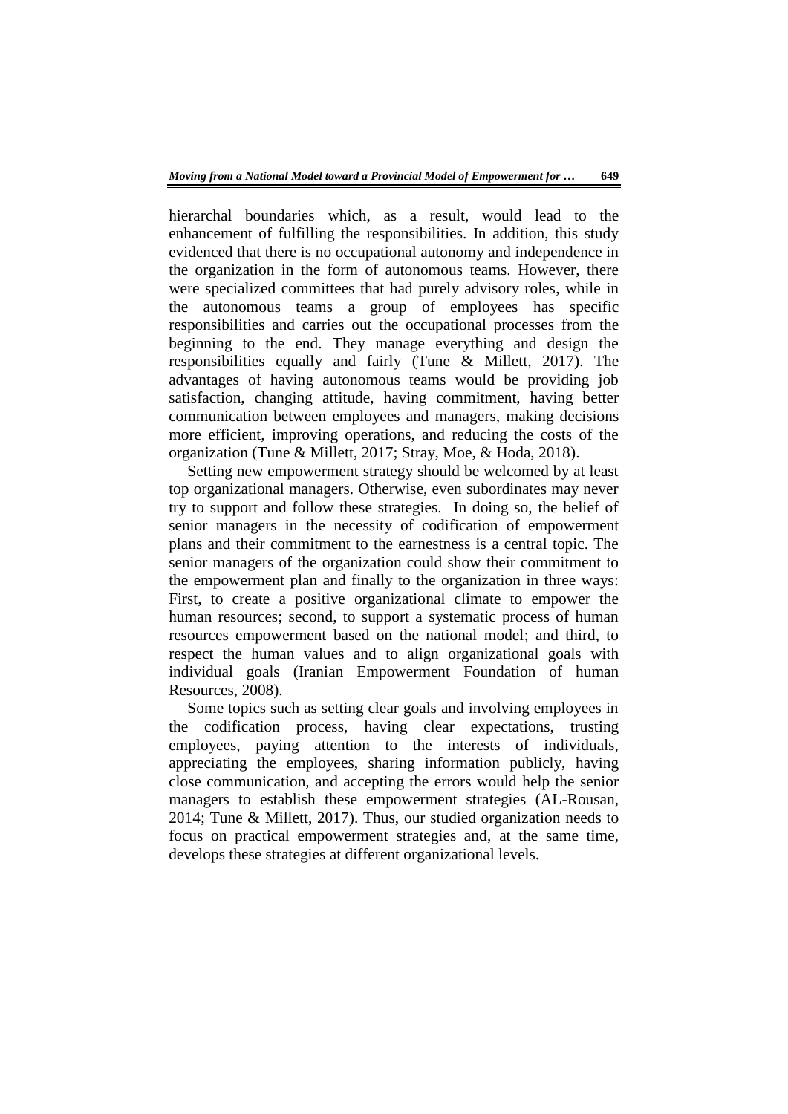hierarchal boundaries which, as a result, would lead to the enhancement of fulfilling the responsibilities. In addition, this study evidenced that there is no occupational autonomy and independence in the organization in the form of autonomous teams. However, there were specialized committees that had purely advisory roles, while in the autonomous teams a group of employees has specific responsibilities and carries out the occupational processes from the beginning to the end. They manage everything and design the responsibilities equally and fairly (Tune & Millett, 2017). The advantages of having autonomous teams would be providing job satisfaction, changing attitude, having commitment, having better communication between employees and managers, making decisions more efficient, improving operations, and reducing the costs of the organization (Tune & Millett, 2017; Stray, Moe, & Hoda, 2018).

Setting new empowerment strategy should be welcomed by at least top organizational managers. Otherwise, even subordinates may never try to support and follow these strategies. In doing so, the belief of senior managers in the necessity of codification of empowerment plans and their commitment to the earnestness is a central topic. The senior managers of the organization could show their commitment to the empowerment plan and finally to the organization in three ways: First, to create a positive organizational climate to empower the human resources; second, to support a systematic process of human resources empowerment based on the national model; and third, to respect the human values and to align organizational goals with individual goals (Iranian Empowerment Foundation of human Resources, 2008).

Some topics such as setting clear goals and involving employees in the codification process, having clear expectations, trusting employees, paying attention to the interests of individuals, appreciating the employees, sharing information publicly, having close communication, and accepting the errors would help the senior managers to establish these empowerment strategies (AL-Rousan, 2014; Tune & Millett, 2017). Thus, our studied organization needs to focus on practical empowerment strategies and, at the same time, develops these strategies at different organizational levels.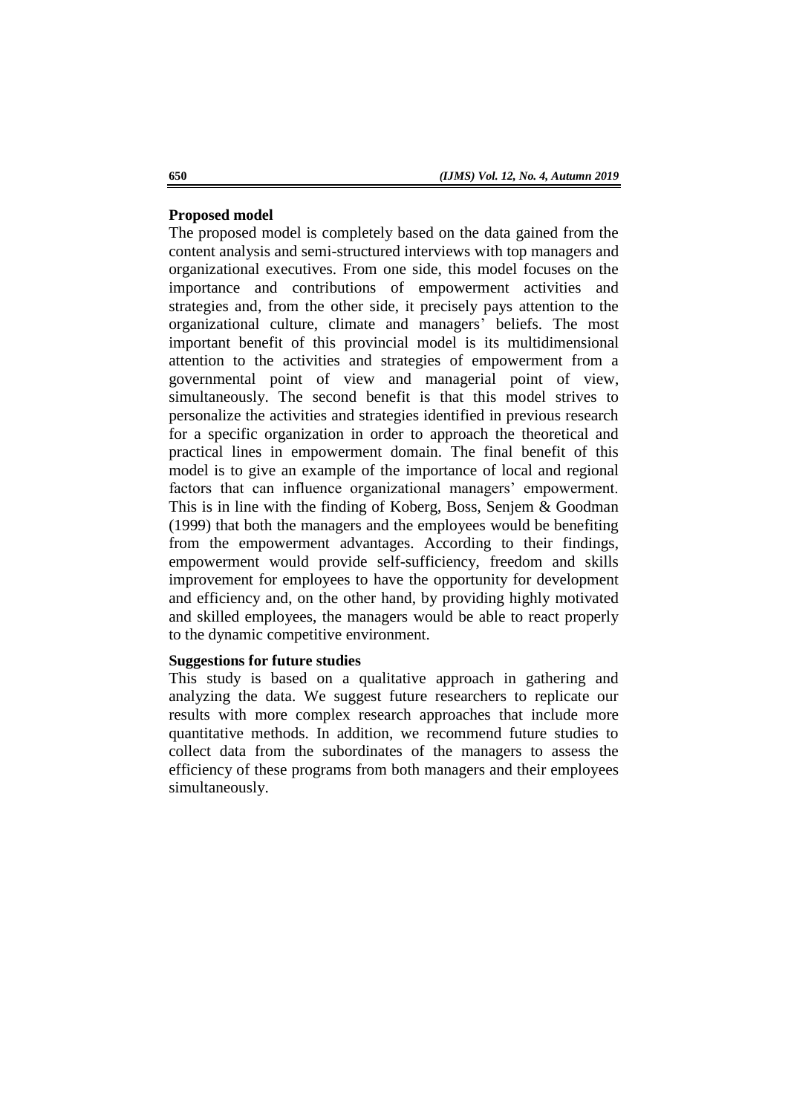#### **Proposed model**

The proposed model is completely based on the data gained from the content analysis and semi-structured interviews with top managers and organizational executives. From one side, this model focuses on the importance and contributions of empowerment activities and strategies and, from the other side, it precisely pays attention to the organizational culture, climate and managers' beliefs. The most important benefit of this provincial model is its multidimensional attention to the activities and strategies of empowerment from a governmental point of view and managerial point of view, simultaneously. The second benefit is that this model strives to personalize the activities and strategies identified in previous research for a specific organization in order to approach the theoretical and practical lines in empowerment domain. The final benefit of this model is to give an example of the importance of local and regional factors that can influence organizational managers' empowerment. This is in line with the finding of Koberg, Boss, Senjem & Goodman (1999) that both the managers and the employees would be benefiting from the empowerment advantages. According to their findings, empowerment would provide self-sufficiency, freedom and skills improvement for employees to have the opportunity for development and efficiency and, on the other hand, by providing highly motivated and skilled employees, the managers would be able to react properly to the dynamic competitive environment.

# **Suggestions for future studies**

This study is based on a qualitative approach in gathering and analyzing the data. We suggest future researchers to replicate our results with more complex research approaches that include more quantitative methods. In addition, we recommend future studies to collect data from the subordinates of the managers to assess the efficiency of these programs from both managers and their employees simultaneously.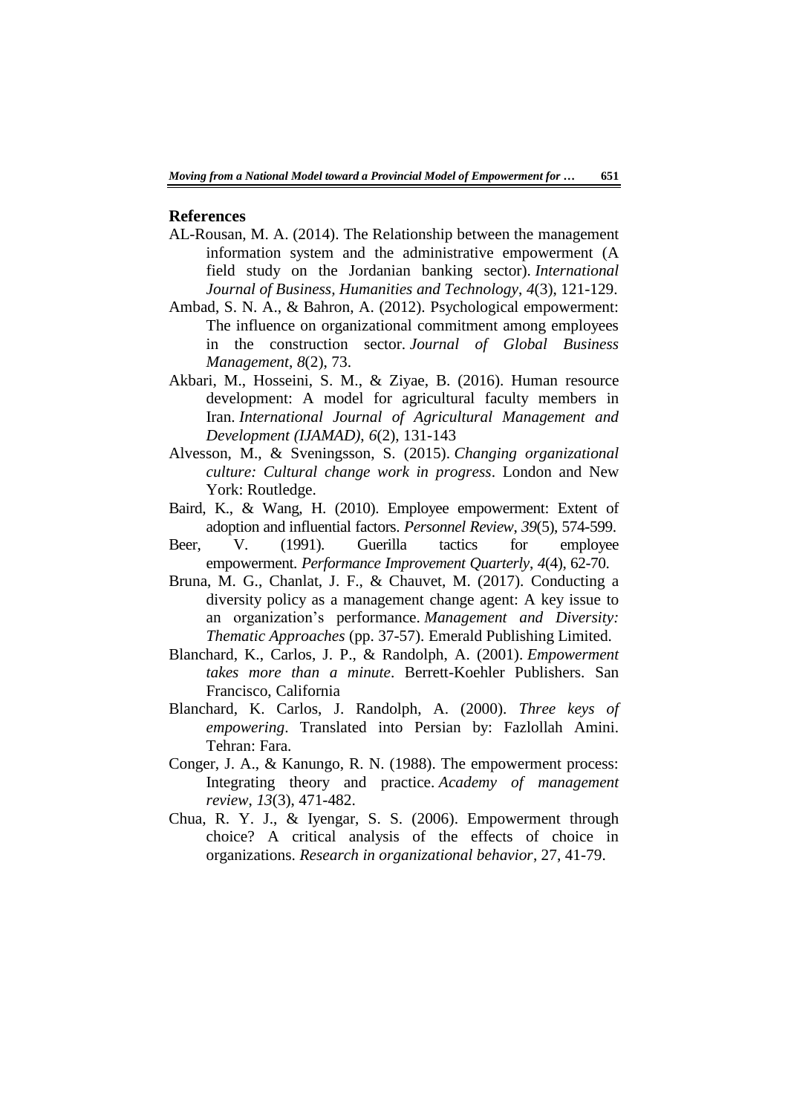#### **References**

- AL-Rousan, M. A. (2014). The Relationship between the management information system and the administrative empowerment (A field study on the Jordanian banking sector). *International Journal of Business, Humanities and Technology*, *4*(3), 121-129.
- Ambad, S. N. A., & Bahron, A. (2012). Psychological empowerment: The influence on organizational commitment among employees in the construction sector. *Journal of Global Business Management*, *8*(2), 73.
- Akbari, M., Hosseini, S. M., & Ziyae, B. (2016). Human resource development: A model for agricultural faculty members in Iran. *International Journal of Agricultural Management and Development (IJAMAD)*, *6*(2), 131-143
- Alvesson, M., & Sveningsson, S. (2015). *Changing organizational culture: Cultural change work in progress*. London and New York: Routledge.
- Baird, K., & Wang, H. (2010). Employee empowerment: Extent of adoption and influential factors. *Personnel Review*, *39*(5), 574-599.
- Beer, V. (1991). Guerilla tactics for employee empowerment. *Performance Improvement Quarterly*, *4*(4), 62-70.
- Bruna, M. G., Chanlat, J. F., & Chauvet, M. (2017). Conducting a diversity policy as a management change agent: A key issue to an organization's performance. *Management and Diversity: Thematic Approaches* (pp. 37-57). Emerald Publishing Limited.
- Blanchard, K., Carlos, J. P., & Randolph, A. (2001). *Empowerment takes more than a minute*. Berrett-Koehler Publishers. San Francisco, California
- Blanchard, K. Carlos, J. Randolph, A. (2000). *Three keys of empowering*. Translated into Persian by: Fazlollah Amini. Tehran: Fara.
- Conger, J. A., & Kanungo, R. N. (1988). The empowerment process: Integrating theory and practice. *Academy of management review*, *13*(3), 471-482.
- Chua, R. Y. J., & Iyengar, S. S. (2006). Empowerment through choice? A critical analysis of the effects of choice in organizations. *Research in organizational behavior*, 27, 41-79.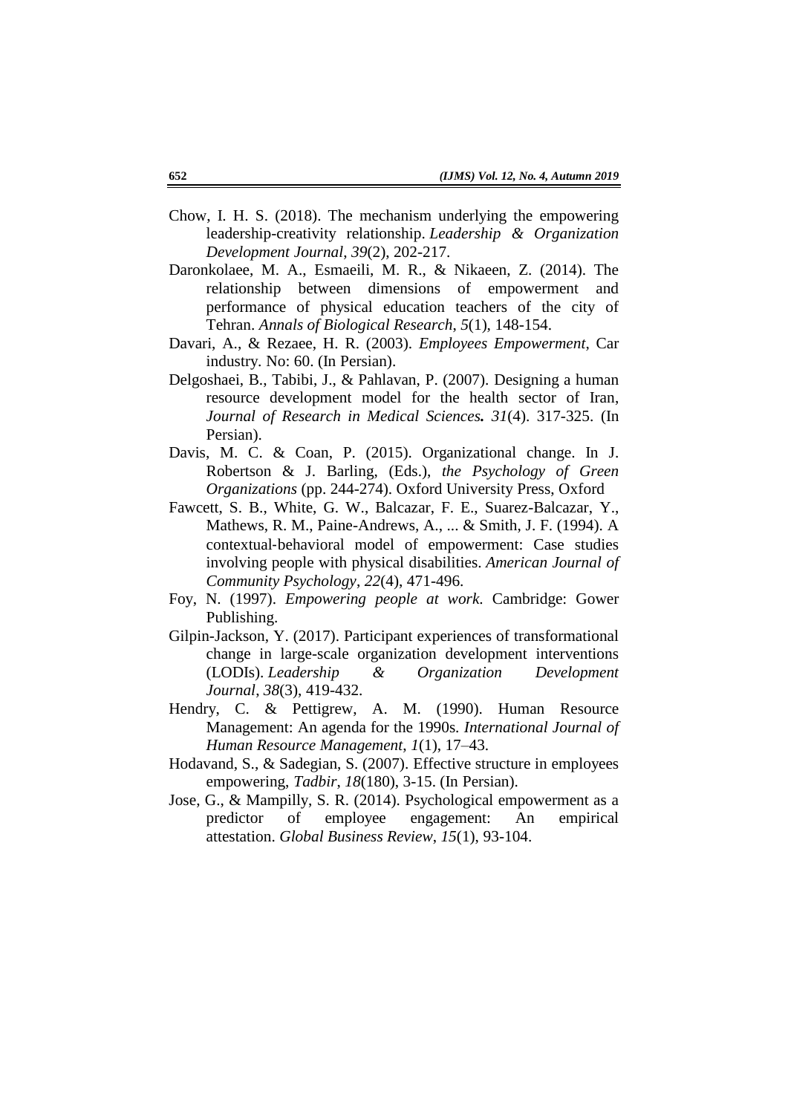- Chow, I. H. S. (2018). The mechanism underlying the empowering leadership-creativity relationship. *Leadership & Organization Development Journal*, *39*(2), 202-217.
- Daronkolaee, M. A., Esmaeili, M. R., & Nikaeen, Z. (2014). The relationship between dimensions of empowerment and performance of physical education teachers of the city of Tehran. *Annals of Biological Research*, *5*(1), 148-154.
- Davari, A., & Rezaee, H. R. (2003). *Employees Empowerment*, Car industry. No: 60. (In Persian).
- Delgoshaei, B., Tabibi, J., & Pahlavan, P. (2007). Designing a human resource development model for the health sector of Iran, *Journal of Research in Medical Sciences. 31*(4). 317-325. (In Persian).
- Davis, M. C. & Coan, P. (2015). Organizational change. In J. Robertson & J. Barling, (Eds.), *the Psychology of Green Organizations* (pp. 244-274). Oxford University Press, Oxford
- Fawcett, S. B., White, G. W., Balcazar, F. E., Suarez-Balcazar, Y., Mathews, R. M., Paine-Andrews, A., ... & Smith, J. F. (1994). A contextual‐behavioral model of empowerment: Case studies involving people with physical disabilities. *American Journal of Community Psychology*, *22*(4), 471-496.
- Foy, N. (1997). *Empowering people at work*. Cambridge: Gower Publishing.
- Gilpin-Jackson, Y. (2017). Participant experiences of transformational change in large-scale organization development interventions (LODIs). *Leadership & Organization Development Journal*, *38*(3), 419-432.
- Hendry, C. & Pettigrew, A. M. (1990). Human Resource Management: An agenda for the 1990s*. International Journal of Human Resource Management*, *1*(1), 17–43.
- Hodavand, S., & Sadegian, S. (2007). Effective structure in employees empowering, *Tadbir*, *18*(180), 3-15. (In Persian).
- Jose, G., & Mampilly, S. R. (2014). Psychological empowerment as a predictor of employee engagement: An empirical attestation. *Global Business Review*, *15*(1), 93-104.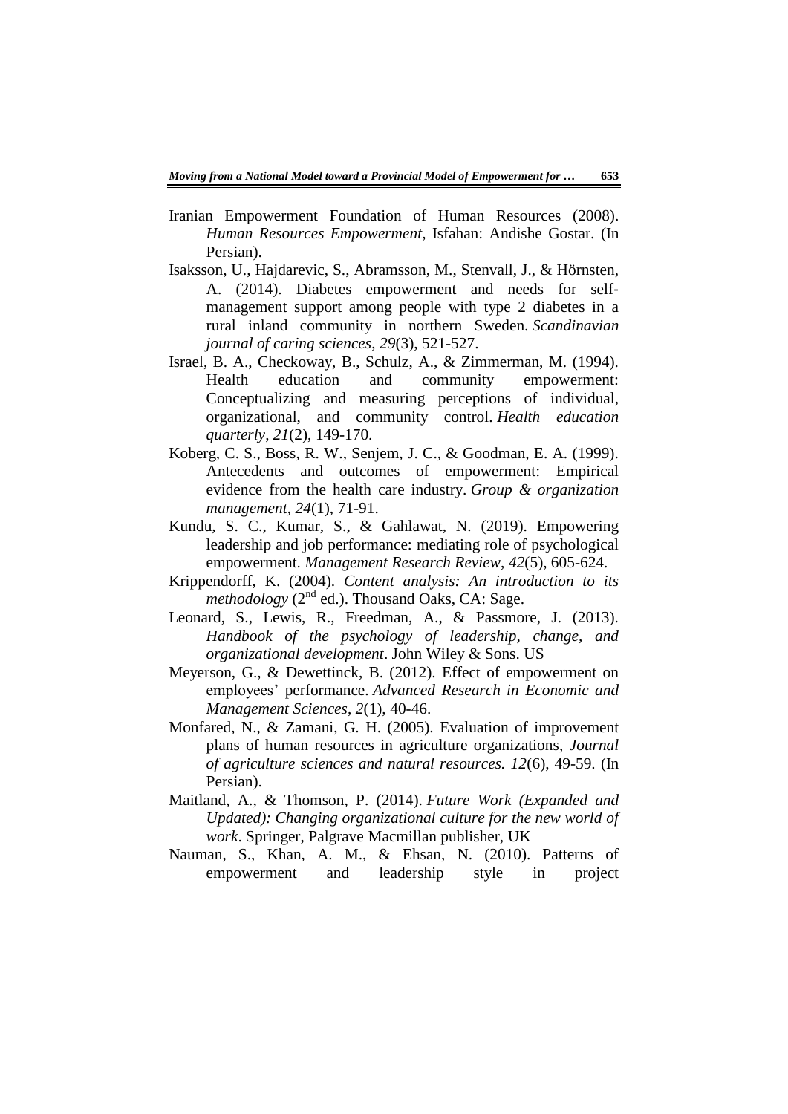- Iranian Empowerment Foundation of Human Resources (2008). *Human Resources Empowerment,* Isfahan: Andishe Gostar. (In Persian).
- Isaksson, U., Hajdarevic, S., Abramsson, M., Stenvall, J., & Hörnsten, A. (2014). Diabetes empowerment and needs for selfmanagement support among people with type 2 diabetes in a rural inland community in northern Sweden. *Scandinavian journal of caring sciences*, *29*(3), 521-527.
- Israel, B. A., Checkoway, B., Schulz, A., & Zimmerman, M. (1994). Health education and community empowerment: Conceptualizing and measuring perceptions of individual, organizational, and community control. *Health education quarterly*, *21*(2), 149-170.
- Koberg, C. S., Boss, R. W., Senjem, J. C., & Goodman, E. A. (1999). Antecedents and outcomes of empowerment: Empirical evidence from the health care industry. *Group & organization management*, *24*(1), 71-91.
- Kundu, S. C., Kumar, S., & Gahlawat, N. (2019). Empowering leadership and job performance: mediating role of psychological empowerment. *Management Research Review*, *42*(5), 605-624.
- Krippendorff, K. (2004). *Content analysis: An introduction to its methodology*  $(2^{nd}$  ed.). Thousand Oaks, CA: Sage.
- Leonard, S., Lewis, R., Freedman, A., & Passmore, J. (2013). *Handbook of the psychology of leadership, change, and organizational development*. John Wiley & Sons. US
- Meyerson, G., & Dewettinck, B. (2012). Effect of empowerment on employees' performance. *Advanced Research in Economic and Management Sciences*, *2*(1), 40-46.
- Monfared, N., & Zamani, G. H. (2005). Evaluation of improvement plans of human resources in agriculture organizations, *Journal of agriculture sciences and natural resources. 12*(6), 49-59. (In Persian).
- Maitland, A., & Thomson, P. (2014). *Future Work (Expanded and Updated): Changing organizational culture for the new world of work*. Springer, Palgrave Macmillan publisher, UK
- Nauman, S., Khan, A. M., & Ehsan, N. (2010). Patterns of empowerment and leadership style in project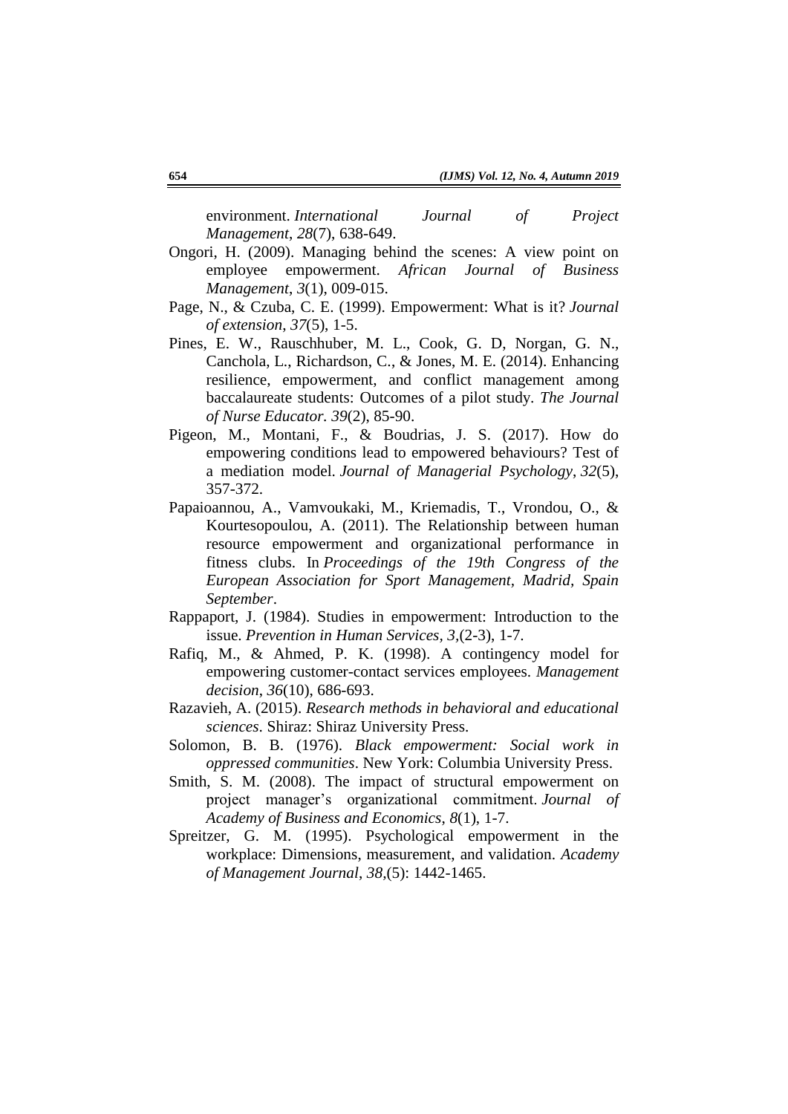environment. *International Journal of Project Management*, *28*(7), 638-649.

- Ongori, H. (2009). Managing behind the scenes: A view point on employee empowerment. *African Journal of Business Management*, *3*(1), 009-015.
- Page, N., & Czuba, C. E. (1999). Empowerment: What is it? *Journal of extension*, *37*(5), 1-5.
- Pines, E. W., Rauschhuber, M. L., Cook, G. D, Norgan, G. N., Canchola, L., Richardson, C., & Jones, M. E. (2014). Enhancing resilience, empowerment, and conflict management among baccalaureate students: Outcomes of a pilot study. *The Journal of Nurse Educator. 39*(2), 85-90.
- Pigeon, M., Montani, F., & Boudrias, J. S. (2017). How do empowering conditions lead to empowered behaviours? Test of a mediation model. *Journal of Managerial Psychology*, *32*(5), 357-372.
- Papaioannou, A., Vamvoukaki, M., Kriemadis, T., Vrondou, O., & Kourtesopoulou, A. (2011). The Relationship between human resource empowerment and organizational performance in fitness clubs. In *Proceedings of the 19th Congress of the European Association for Sport Management, Madrid, Spain September*.
- Rappaport, J. (1984). Studies in empowerment: Introduction to the issue. *Prevention in Human Services, 3,*(2-3), 1-7.
- Rafiq, M., & Ahmed, P. K. (1998). A contingency model for empowering customer-contact services employees. *Management decision*, *36*(10), 686-693.
- Razavieh, A. (2015). *Research methods in behavioral and educational sciences*. Shiraz: Shiraz University Press.
- Solomon, B. B. (1976). *Black empowerment: Social work in oppressed communities*. New York: Columbia University Press.
- Smith, S. M. (2008). The impact of structural empowerment on project manager's organizational commitment. *Journal of Academy of Business and Economics*, *8*(1), 1-7.
- Spreitzer, G. M. (1995). Psychological empowerment in the workplace: Dimensions, measurement, and validation. *Academy of Management Journal*, *38,*(5): 1442-1465.